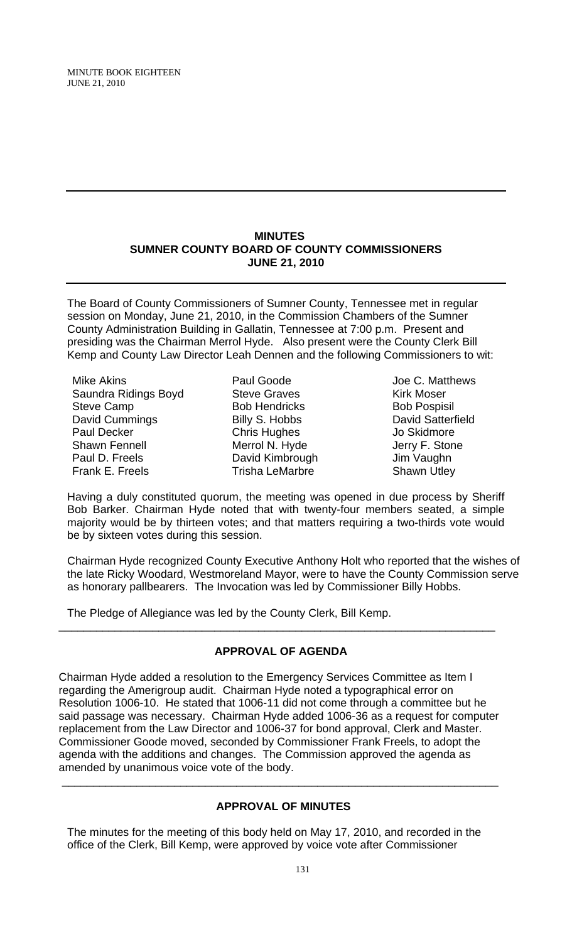MINUTE BOOK EIGHTEEN JUNE 21, 2010

#### **MINUTES SUMNER COUNTY BOARD OF COUNTY COMMISSIONERS JUNE 21, 2010**

The Board of County Commissioners of Sumner County, Tennessee met in regular session on Monday, June 21, 2010, in the Commission Chambers of the Sumner County Administration Building in Gallatin, Tennessee at 7:00 p.m. Present and presiding was the Chairman Merrol Hyde. Also present were the County Clerk Bill Kemp and County Law Director Leah Dennen and the following Commissioners to wit:

Mike Akins Saundra Ridings Boyd Steve Camp David Cummings Paul Decker Shawn Fennell Paul D. Freels Frank E. Freels

Paul Goode Steve Graves Bob Hendricks Billy S. Hobbs Chris Hughes Merrol N. Hyde David Kimbrough Trisha LeMarbre

Joe C. Matthews Kirk Moser Bob Pospisil David Satterfield Jo Skidmore Jerry F. Stone Jim Vaughn Shawn Utley

Having a duly constituted quorum, the meeting was opened in due process by Sheriff Bob Barker. Chairman Hyde noted that with twenty-four members seated, a simple majority would be by thirteen votes; and that matters requiring a two-thirds vote would be by sixteen votes during this session.

Chairman Hyde recognized County Executive Anthony Holt who reported that the wishes of the late Ricky Woodard, Westmoreland Mayor, were to have the County Commission serve as honorary pallbearers. The Invocation was led by Commissioner Billy Hobbs.

The Pledge of Allegiance was led by the County Clerk, Bill Kemp.

## **APPROVAL OF AGENDA**

\_\_\_\_\_\_\_\_\_\_\_\_\_\_\_\_\_\_\_\_\_\_\_\_\_\_\_\_\_\_\_\_\_\_\_\_\_\_\_\_\_\_\_\_\_\_\_\_\_\_\_\_\_\_\_\_\_\_\_\_\_\_\_\_\_\_\_\_\_\_

Chairman Hyde added a resolution to the Emergency Services Committee as Item I regarding the Amerigroup audit. Chairman Hyde noted a typographical error on Resolution 1006-10. He stated that 1006-11 did not come through a committee but he said passage was necessary. Chairman Hyde added 1006-36 as a request for computer replacement from the Law Director and 1006-37 for bond approval, Clerk and Master. Commissioner Goode moved, seconded by Commissioner Frank Freels, to adopt the agenda with the additions and changes. The Commission approved the agenda as amended by unanimous voice vote of the body.

## **APPROVAL OF MINUTES**

\_\_\_\_\_\_\_\_\_\_\_\_\_\_\_\_\_\_\_\_\_\_\_\_\_\_\_\_\_\_\_\_\_\_\_\_\_\_\_\_\_\_\_\_\_\_\_\_\_\_\_\_\_\_\_\_\_\_\_\_\_\_\_\_\_\_\_\_\_\_

The minutes for the meeting of this body held on May 17, 2010, and recorded in the office of the Clerk, Bill Kemp, were approved by voice vote after Commissioner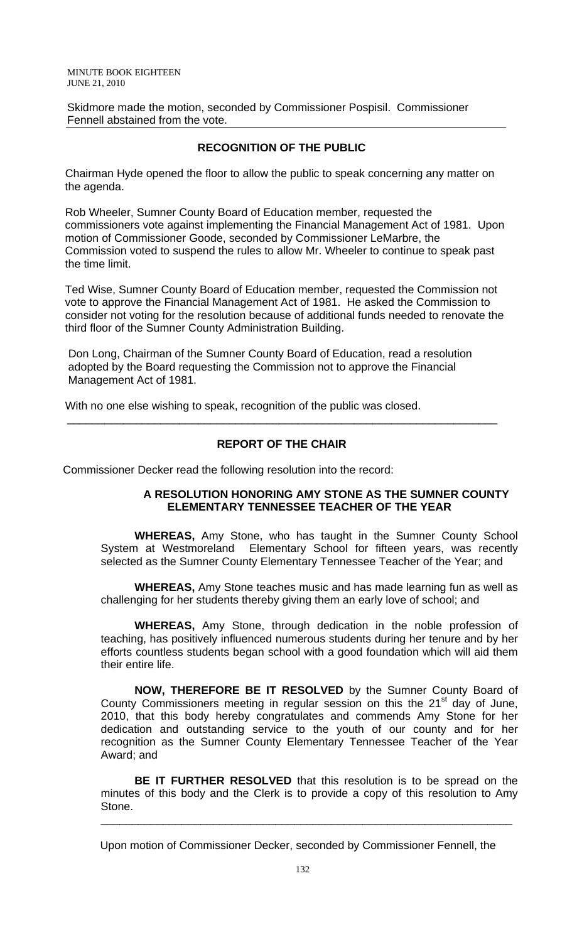MINUTE BOOK EIGHTEEN JUNE 21, 2010

Skidmore made the motion, seconded by Commissioner Pospisil. Commissioner Fennell abstained from the vote.

## **RECOGNITION OF THE PUBLIC**

 Chairman Hyde opened the floor to allow the public to speak concerning any matter on the agenda.

 Rob Wheeler, Sumner County Board of Education member, requested the commissioners vote against implementing the Financial Management Act of 1981. Upon motion of Commissioner Goode, seconded by Commissioner LeMarbre, the Commission voted to suspend the rules to allow Mr. Wheeler to continue to speak past the time limit.

 Ted Wise, Sumner County Board of Education member, requested the Commission not vote to approve the Financial Management Act of 1981. He asked the Commission to consider not voting for the resolution because of additional funds needed to renovate the third floor of the Sumner County Administration Building.

 Don Long, Chairman of the Sumner County Board of Education, read a resolution adopted by the Board requesting the Commission not to approve the Financial Management Act of 1981.

With no one else wishing to speak, recognition of the public was closed.

## **REPORT OF THE CHAIR**

\_\_\_\_\_\_\_\_\_\_\_\_\_\_\_\_\_\_\_\_\_\_\_\_\_\_\_\_\_\_\_\_\_\_\_\_\_\_\_\_\_\_\_\_\_\_\_\_\_\_\_\_\_\_\_\_\_\_\_\_\_\_\_\_\_\_\_\_\_

Commissioner Decker read the following resolution into the record:

## **A RESOLUTION HONORING AMY STONE AS THE SUMNER COUNTY ELEMENTARY TENNESSEE TEACHER OF THE YEAR**

 **WHEREAS,** Amy Stone, who has taught in the Sumner County School System at Westmoreland Elementary School for fifteen years, was recently selected as the Sumner County Elementary Tennessee Teacher of the Year; and

**WHEREAS,** Amy Stone teaches music and has made learning fun as well as challenging for her students thereby giving them an early love of school; and

**WHEREAS,** Amy Stone, through dedication in the noble profession of teaching, has positively influenced numerous students during her tenure and by her efforts countless students began school with a good foundation which will aid them their entire life.

**NOW, THEREFORE BE IT RESOLVED** by the Sumner County Board of County Commissioners meeting in regular session on this the  $21<sup>st</sup>$  day of June, 2010, that this body hereby congratulates and commends Amy Stone for her dedication and outstanding service to the youth of our county and for her recognition as the Sumner County Elementary Tennessee Teacher of the Year Award; and

**BE IT FURTHER RESOLVED** that this resolution is to be spread on the minutes of this body and the Clerk is to provide a copy of this resolution to Amy Stone.

\_\_\_\_\_\_\_\_\_\_\_\_\_\_\_\_\_\_\_\_\_\_\_\_\_\_\_\_\_\_\_\_\_\_\_\_\_\_\_\_\_\_\_\_\_\_\_\_\_\_\_\_\_\_\_\_\_\_\_\_\_\_\_\_\_\_

Upon motion of Commissioner Decker, seconded by Commissioner Fennell, the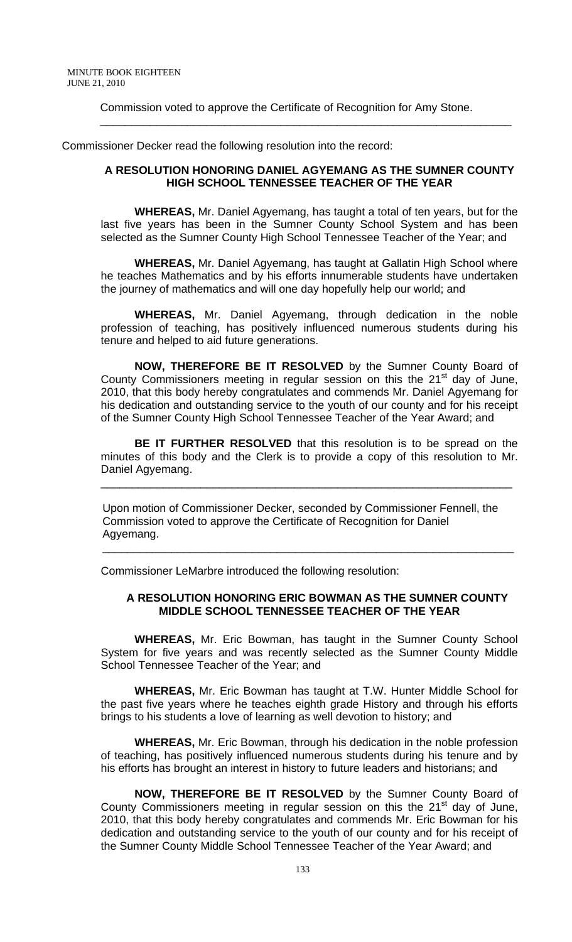Commission voted to approve the Certificate of Recognition for Amy Stone.

Commissioner Decker read the following resolution into the record:

## **A RESOLUTION HONORING DANIEL AGYEMANG AS THE SUMNER COUNTY HIGH SCHOOL TENNESSEE TEACHER OF THE YEAR**

 $\overline{\phantom{a}}$  , and the set of the set of the set of the set of the set of the set of the set of the set of the set of the set of the set of the set of the set of the set of the set of the set of the set of the set of the s

 **WHEREAS,** Mr. Daniel Agyemang, has taught a total of ten years, but for the last five years has been in the Sumner County School System and has been selected as the Sumner County High School Tennessee Teacher of the Year; and

**WHEREAS,** Mr. Daniel Agyemang, has taught at Gallatin High School where he teaches Mathematics and by his efforts innumerable students have undertaken the journey of mathematics and will one day hopefully help our world; and

**WHEREAS,** Mr. Daniel Agyemang, through dedication in the noble profession of teaching, has positively influenced numerous students during his tenure and helped to aid future generations.

**NOW, THEREFORE BE IT RESOLVED** by the Sumner County Board of County Commissioners meeting in regular session on this the  $21<sup>st</sup>$  day of June, 2010, that this body hereby congratulates and commends Mr. Daniel Agyemang for his dedication and outstanding service to the youth of our county and for his receipt of the Sumner County High School Tennessee Teacher of the Year Award; and

**BE IT FURTHER RESOLVED** that this resolution is to be spread on the minutes of this body and the Clerk is to provide a copy of this resolution to Mr. Daniel Agyemang.

\_\_\_\_\_\_\_\_\_\_\_\_\_\_\_\_\_\_\_\_\_\_\_\_\_\_\_\_\_\_\_\_\_\_\_\_\_\_\_\_\_\_\_\_\_\_\_\_\_\_\_\_\_\_\_\_\_\_\_\_\_\_\_\_\_\_

 Upon motion of Commissioner Decker, seconded by Commissioner Fennell, the Commission voted to approve the Certificate of Recognition for Daniel Agyemang.

 $\frac{1}{\sqrt{2}}$  ,  $\frac{1}{\sqrt{2}}$  ,  $\frac{1}{\sqrt{2}}$  ,  $\frac{1}{\sqrt{2}}$  ,  $\frac{1}{\sqrt{2}}$  ,  $\frac{1}{\sqrt{2}}$  ,  $\frac{1}{\sqrt{2}}$  ,  $\frac{1}{\sqrt{2}}$  ,  $\frac{1}{\sqrt{2}}$  ,  $\frac{1}{\sqrt{2}}$  ,  $\frac{1}{\sqrt{2}}$  ,  $\frac{1}{\sqrt{2}}$  ,  $\frac{1}{\sqrt{2}}$  ,  $\frac{1}{\sqrt{2}}$  ,  $\frac{1}{\sqrt{2}}$ 

Commissioner LeMarbre introduced the following resolution:

## **A RESOLUTION HONORING ERIC BOWMAN AS THE SUMNER COUNTY MIDDLE SCHOOL TENNESSEE TEACHER OF THE YEAR**

 **WHEREAS,** Mr. Eric Bowman, has taught in the Sumner County School System for five years and was recently selected as the Sumner County Middle School Tennessee Teacher of the Year; and

**WHEREAS,** Mr. Eric Bowman has taught at T.W. Hunter Middle School for the past five years where he teaches eighth grade History and through his efforts brings to his students a love of learning as well devotion to history; and

**WHEREAS,** Mr. Eric Bowman, through his dedication in the noble profession of teaching, has positively influenced numerous students during his tenure and by his efforts has brought an interest in history to future leaders and historians; and

**NOW, THEREFORE BE IT RESOLVED** by the Sumner County Board of County Commissioners meeting in regular session on this the  $21<sup>st</sup>$  day of June, 2010, that this body hereby congratulates and commends Mr. Eric Bowman for his dedication and outstanding service to the youth of our county and for his receipt of the Sumner County Middle School Tennessee Teacher of the Year Award; and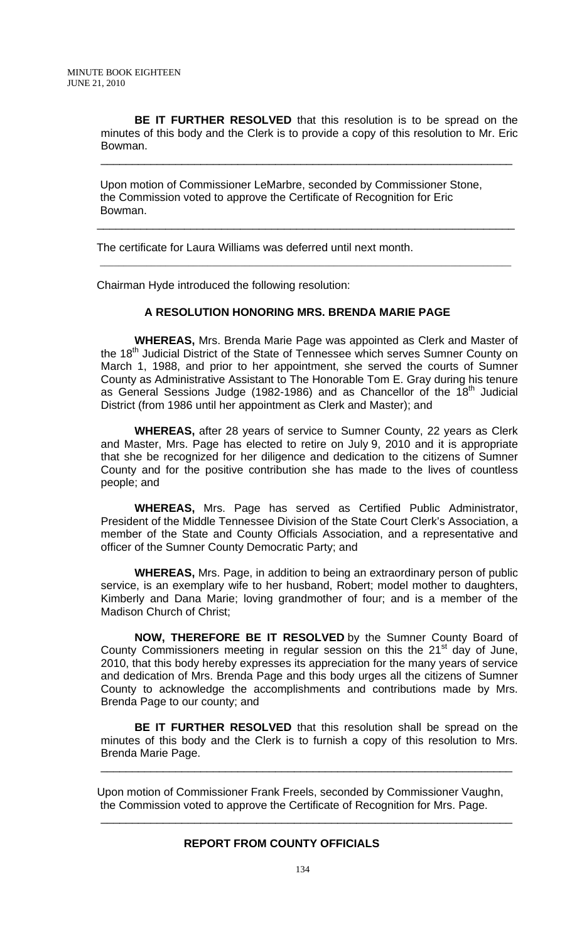**BE IT FURTHER RESOLVED** that this resolution is to be spread on the minutes of this body and the Clerk is to provide a copy of this resolution to Mr. Eric Bowman.

\_\_\_\_\_\_\_\_\_\_\_\_\_\_\_\_\_\_\_\_\_\_\_\_\_\_\_\_\_\_\_\_\_\_\_\_\_\_\_\_\_\_\_\_\_\_\_\_\_\_\_\_\_\_\_\_\_\_\_\_\_\_\_\_\_\_

\_\_\_\_\_\_\_\_\_\_\_\_\_\_\_\_\_\_\_\_\_\_\_\_\_\_\_\_\_\_\_\_\_\_\_\_\_\_\_\_\_\_\_\_\_\_\_\_\_\_\_\_\_\_\_\_\_\_\_\_\_\_\_\_\_\_\_

 Upon motion of Commissioner LeMarbre, seconded by Commissioner Stone, the Commission voted to approve the Certificate of Recognition for Eric Bowman.

 $\mathcal{L}_\mathcal{L} = \mathcal{L}_\mathcal{L} = \mathcal{L}_\mathcal{L} = \mathcal{L}_\mathcal{L} = \mathcal{L}_\mathcal{L} = \mathcal{L}_\mathcal{L} = \mathcal{L}_\mathcal{L} = \mathcal{L}_\mathcal{L} = \mathcal{L}_\mathcal{L} = \mathcal{L}_\mathcal{L} = \mathcal{L}_\mathcal{L} = \mathcal{L}_\mathcal{L} = \mathcal{L}_\mathcal{L} = \mathcal{L}_\mathcal{L} = \mathcal{L}_\mathcal{L} = \mathcal{L}_\mathcal{L} = \mathcal{L}_\mathcal{L}$ 

The certificate for Laura Williams was deferred until next month.

Chairman Hyde introduced the following resolution:

## **A RESOLUTION HONORING MRS. BRENDA MARIE PAGE**

 **WHEREAS,** Mrs. Brenda Marie Page was appointed as Clerk and Master of the 18<sup>th</sup> Judicial District of the State of Tennessee which serves Sumner County on March 1, 1988, and prior to her appointment, she served the courts of Sumner County as Administrative Assistant to The Honorable Tom E. Gray during his tenure as General Sessions Judge (1982-1986) and as Chancellor of the 18<sup>th</sup> Judicial District (from 1986 until her appointment as Clerk and Master); and

**WHEREAS,** after 28 years of service to Sumner County, 22 years as Clerk and Master, Mrs. Page has elected to retire on July 9, 2010 and it is appropriate that she be recognized for her diligence and dedication to the citizens of Sumner County and for the positive contribution she has made to the lives of countless people; and

**WHEREAS,** Mrs. Page has served as Certified Public Administrator, President of the Middle Tennessee Division of the State Court Clerk's Association, a member of the State and County Officials Association, and a representative and officer of the Sumner County Democratic Party; and

**WHEREAS,** Mrs. Page, in addition to being an extraordinary person of public service, is an exemplary wife to her husband, Robert; model mother to daughters, Kimberly and Dana Marie; loving grandmother of four; and is a member of the Madison Church of Christ;

 **NOW, THEREFORE BE IT RESOLVED** by the Sumner County Board of County Commissioners meeting in regular session on this the  $21<sup>st</sup>$  day of June, 2010, that this body hereby expresses its appreciation for the many years of service and dedication of Mrs. Brenda Page and this body urges all the citizens of Sumner County to acknowledge the accomplishments and contributions made by Mrs. Brenda Page to our county; and

**BE IT FURTHER RESOLVED** that this resolution shall be spread on the minutes of this body and the Clerk is to furnish a copy of this resolution to Mrs. Brenda Marie Page.

\_\_\_\_\_\_\_\_\_\_\_\_\_\_\_\_\_\_\_\_\_\_\_\_\_\_\_\_\_\_\_\_\_\_\_\_\_\_\_\_\_\_\_\_\_\_\_\_\_\_\_\_\_\_\_\_\_\_\_\_\_\_\_\_\_\_

\_\_\_\_\_\_\_\_\_\_\_\_\_\_\_\_\_\_\_\_\_\_\_\_\_\_\_\_\_\_\_\_\_\_\_\_\_\_\_\_\_\_\_\_\_\_\_\_\_\_\_\_\_\_\_\_\_\_\_\_\_\_\_\_\_\_

Upon motion of Commissioner Frank Freels, seconded by Commissioner Vaughn, the Commission voted to approve the Certificate of Recognition for Mrs. Page.

#### **REPORT FROM COUNTY OFFICIALS**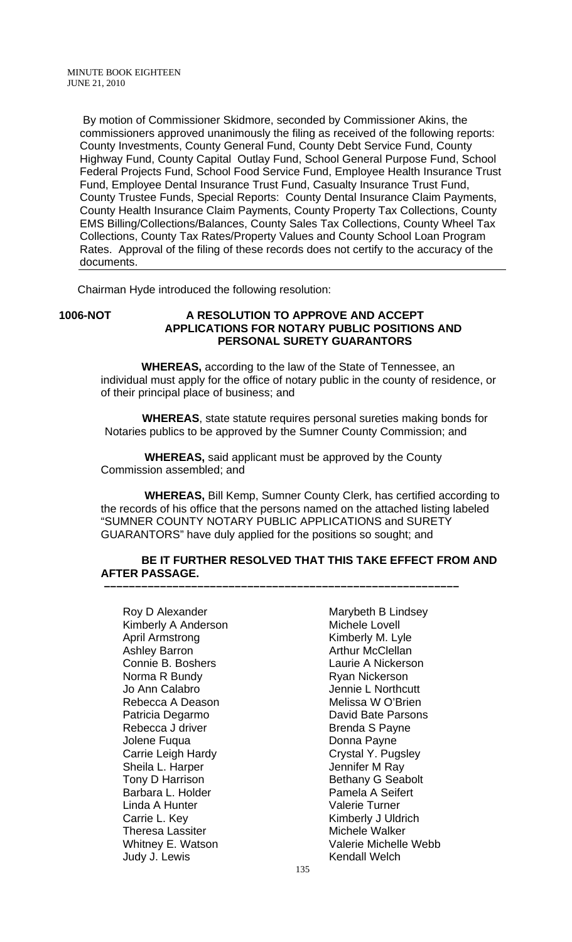By motion of Commissioner Skidmore, seconded by Commissioner Akins, the commissioners approved unanimously the filing as received of the following reports: County Investments, County General Fund, County Debt Service Fund, County Highway Fund, County Capital Outlay Fund, School General Purpose Fund, School Federal Projects Fund, School Food Service Fund, Employee Health Insurance Trust Fund, Employee Dental Insurance Trust Fund, Casualty Insurance Trust Fund, County Trustee Funds, Special Reports: County Dental Insurance Claim Payments, County Health Insurance Claim Payments, County Property Tax Collections, County EMS Billing/Collections/Balances, County Sales Tax Collections, County Wheel Tax Collections, County Tax Rates/Property Values and County School Loan Program Rates. Approval of the filing of these records does not certify to the accuracy of the documents.

Chairman Hyde introduced the following resolution:

## **1006-NOT A RESOLUTION TO APPROVE AND ACCEPT APPLICATIONS FOR NOTARY PUBLIC POSITIONS AND PERSONAL SURETY GUARANTORS**

 **WHEREAS,** according to the law of the State of Tennessee, an individual must apply for the office of notary public in the county of residence, or of their principal place of business; and

 **WHEREAS**, state statute requires personal sureties making bonds for Notaries publics to be approved by the Sumner County Commission; and

 **WHEREAS,** said applicant must be approved by the County Commission assembled; and

 **–––––––––––––––––––––––––––––––––––––––––––––––––––––––––**

 **WHEREAS,** Bill Kemp, Sumner County Clerk, has certified according to the records of his office that the persons named on the attached listing labeled "SUMNER COUNTY NOTARY PUBLIC APPLICATIONS and SURETY GUARANTORS" have duly applied for the positions so sought; and

## **BE IT FURTHER RESOLVED THAT THIS TAKE EFFECT FROM AND AFTER PASSAGE.**

Kimberly A Anderson Michele Lovell April Armstrong **Kimberly M. Lyle** Ashley Barron **Arthur McClellan** Connie B. Boshers **Laurie A Nickerson** Norma R Bundy Ryan Nickerson Jo Ann Calabro **Journalist Community** Jennie L Northcutt<br>
Rebecca A Deason **Journalist Community** Melissa W O'Brien Rebecca A Deason Patricia Degarmo **David Bate Parsons** Rebecca J driver **Brenda S Payne** Jolene Fuqua **Donna Payne** Carrie Leigh Hardy Crystal Y. Pugsley Sheila L. Harper **Internal Sheila L. Harper** Tony D Harrison **Bethany G Seabolt** Barbara L. Holder **Pamela A Seifert** Linda A Hunter **Valerie Turner** Carrie L. Key **Kimberly J Uldrich** Theresa Lassiter **Michele Walker** Judy J. Lewis **Kendall Welch** 

Roy D Alexander Marybeth B Lindsey Whitney E. Watson Valerie Michelle Webb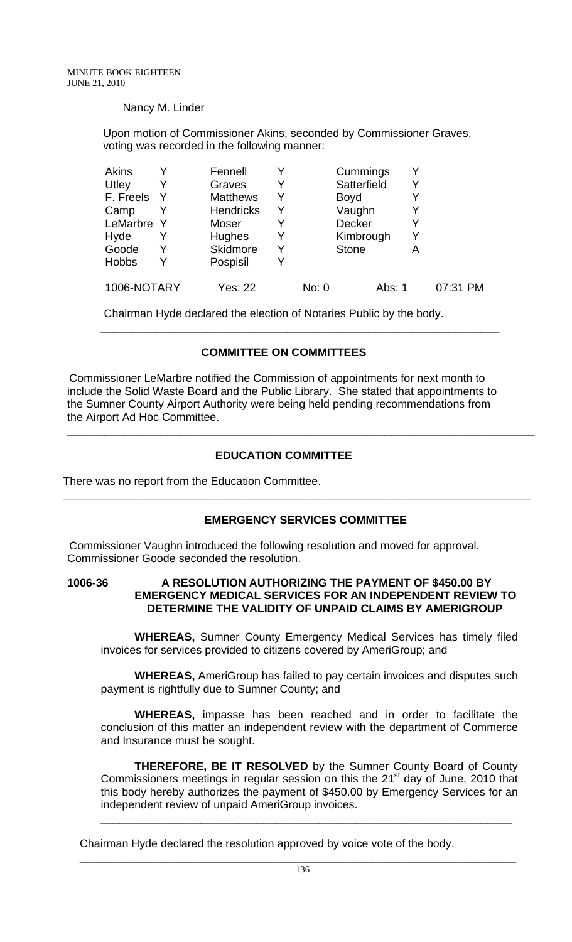## Nancy M. Linder

 Upon motion of Commissioner Akins, seconded by Commissioner Graves, voting was recorded in the following manner:

| <b>Akins</b> | Fennell          |   |       | Cummings     |   |          |
|--------------|------------------|---|-------|--------------|---|----------|
| Utley        | Graves           | Y |       | Satterfield  |   |          |
| F. Freels    | <b>Matthews</b>  | Y |       | <b>Boyd</b>  |   |          |
| Camp         | <b>Hendricks</b> | Y |       | Vaughn       |   |          |
| LeMarbre Y   | Moser            |   |       | Decker       |   |          |
| Hyde         | Hughes           | Y |       | Kimbrough    |   |          |
| Goode        | Skidmore         | Y |       | <b>Stone</b> | Α |          |
| <b>Hobbs</b> | Pospisil         |   |       |              |   |          |
| 1006-NOTARY  | Yes: 22          |   | No: 0 | Abs: 1       |   | 07:31 PM |

Chairman Hyde declared the election of Notaries Public by the body.

## **COMMITTEE ON COMMITTEES**

\_\_\_\_\_\_\_\_\_\_\_\_\_\_\_\_\_\_\_\_\_\_\_\_\_\_\_\_\_\_\_\_\_\_\_\_\_\_\_\_\_\_\_\_\_\_\_\_\_\_\_\_\_\_\_\_\_\_\_\_\_\_\_\_

 Commissioner LeMarbre notified the Commission of appointments for next month to include the Solid Waste Board and the Public Library. She stated that appointments to the Sumner County Airport Authority were being held pending recommendations from the Airport Ad Hoc Committee.

## **EDUCATION COMMITTEE**

There was no report from the Education Committee.

## **EMERGENCY SERVICES COMMITTEE**

**\_\_\_\_\_\_\_\_\_\_\_\_\_\_\_\_\_\_\_\_\_\_\_\_\_\_\_\_\_\_\_\_\_\_\_\_\_\_\_\_\_\_\_\_\_\_\_\_\_\_\_\_\_\_\_\_\_\_\_\_\_\_\_\_\_\_\_\_\_\_\_\_\_\_\_** 

\_\_\_\_\_\_\_\_\_\_\_\_\_\_\_\_\_\_\_\_\_\_\_\_\_\_\_\_\_\_\_\_\_\_\_\_\_\_\_\_\_\_\_\_\_\_\_\_\_\_\_\_\_\_\_\_\_\_\_\_\_\_\_\_\_\_\_\_\_\_\_\_\_\_\_

 Commissioner Vaughn introduced the following resolution and moved for approval. Commissioner Goode seconded the resolution.

## **1006-36 A RESOLUTION AUTHORIZING THE PAYMENT OF \$450.00 BY EMERGENCY MEDICAL SERVICES FOR AN INDEPENDENT REVIEW TO DETERMINE THE VALIDITY OF UNPAID CLAIMS BY AMERIGROUP**

**WHEREAS,** Sumner County Emergency Medical Services has timely filed invoices for services provided to citizens covered by AmeriGroup; and

**WHEREAS,** AmeriGroup has failed to pay certain invoices and disputes such payment is rightfully due to Sumner County; and

**WHEREAS,** impasse has been reached and in order to facilitate the conclusion of this matter an independent review with the department of Commerce and Insurance must be sought.

**THEREFORE, BE IT RESOLVED** by the Sumner County Board of County Commissioners meetings in regular session on this the 21<sup>st</sup> day of June, 2010 that this body hereby authorizes the payment of \$450.00 by Emergency Services for an independent review of unpaid AmeriGroup invoices.

\_\_\_\_\_\_\_\_\_\_\_\_\_\_\_\_\_\_\_\_\_\_\_\_\_\_\_\_\_\_\_\_\_\_\_\_\_\_\_\_\_\_\_\_\_\_\_\_\_\_\_\_\_\_\_\_\_\_\_\_\_\_\_\_\_\_

Chairman Hyde declared the resolution approved by voice vote of the body.

\_\_\_\_\_\_\_\_\_\_\_\_\_\_\_\_\_\_\_\_\_\_\_\_\_\_\_\_\_\_\_\_\_\_\_\_\_\_\_\_\_\_\_\_\_\_\_\_\_\_\_\_\_\_\_\_\_\_\_\_\_\_\_\_\_\_\_\_\_\_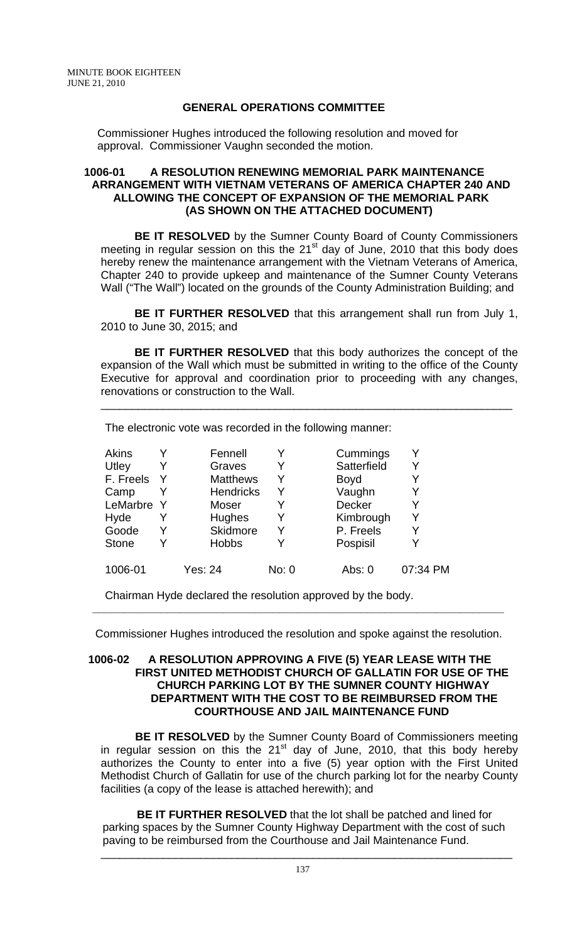## **GENERAL OPERATIONS COMMITTEE**

Commissioner Hughes introduced the following resolution and moved for approval. Commissioner Vaughn seconded the motion.

## **1006-01 A RESOLUTION RENEWING MEMORIAL PARK MAINTENANCE ARRANGEMENT WITH VIETNAM VETERANS OF AMERICA CHAPTER 240 AND ALLOWING THE CONCEPT OF EXPANSION OF THE MEMORIAL PARK (AS SHOWN ON THE ATTACHED DOCUMENT)**

**BE IT RESOLVED** by the Sumner County Board of County Commissioners meeting in regular session on this the  $21<sup>st</sup>$  day of June, 2010 that this body does hereby renew the maintenance arrangement with the Vietnam Veterans of America, Chapter 240 to provide upkeep and maintenance of the Sumner County Veterans Wall ("The Wall") located on the grounds of the County Administration Building; and

**BE IT FURTHER RESOLVED** that this arrangement shall run from July 1, 2010 to June 30, 2015; and

**BE IT FURTHER RESOLVED** that this body authorizes the concept of the expansion of the Wall which must be submitted in writing to the office of the County Executive for approval and coordination prior to proceeding with any changes, renovations or construction to the Wall.

\_\_\_\_\_\_\_\_\_\_\_\_\_\_\_\_\_\_\_\_\_\_\_\_\_\_\_\_\_\_\_\_\_\_\_\_\_\_\_\_\_\_\_\_\_\_\_\_\_\_\_\_\_\_\_\_\_\_\_\_\_\_\_\_\_\_

| Akins        |   | Fennell          |       | Cummings    |          |
|--------------|---|------------------|-------|-------------|----------|
| Utley        | Y | Graves           | Y     | Satterfield | Y        |
| F. Freels    | Y | <b>Matthews</b>  | Y     | <b>Boyd</b> |          |
| Camp         |   | <b>Hendricks</b> | Y     | Vaughn      |          |
| LeMarbre Y   |   | Moser            | Y     | Decker      |          |
| Hyde         | Y | Hughes           | Y     | Kimbrough   | Y        |
| Goode        | Y | Skidmore         | Y     | P. Freels   |          |
| <b>Stone</b> | Y | <b>Hobbs</b>     |       | Pospisil    |          |
| 1006-01      |   | Yes: 24          | No: 0 | Abs: 0      | 07:34 PM |

Chairman Hyde declared the resolution approved by the body.

Commissioner Hughes introduced the resolution and spoke against the resolution.

**\_\_\_\_\_\_\_\_\_\_\_\_\_\_\_\_\_\_\_\_\_\_\_\_\_\_\_\_\_\_\_\_\_\_\_\_\_\_\_\_\_\_\_\_\_\_\_\_\_\_\_\_\_\_\_\_\_\_\_\_\_\_\_\_\_\_** 

## **1006-02 A RESOLUTION APPROVING A FIVE (5) YEAR LEASE WITH THE FIRST UNITED METHODIST CHURCH OF GALLATIN FOR USE OF THE CHURCH PARKING LOT BY THE SUMNER COUNTY HIGHWAY DEPARTMENT WITH THE COST TO BE REIMBURSED FROM THE COURTHOUSE AND JAIL MAINTENANCE FUND**

 **BE IT RESOLVED** by the Sumner County Board of Commissioners meeting in regular session on this the 21<sup>st</sup> day of June, 2010, that this body hereby authorizes the County to enter into a five (5) year option with the First United Methodist Church of Gallatin for use of the church parking lot for the nearby County facilities (a copy of the lease is attached herewith); and

 **BE IT FURTHER RESOLVED** that the lot shall be patched and lined for parking spaces by the Sumner County Highway Department with the cost of such paving to be reimbursed from the Courthouse and Jail Maintenance Fund.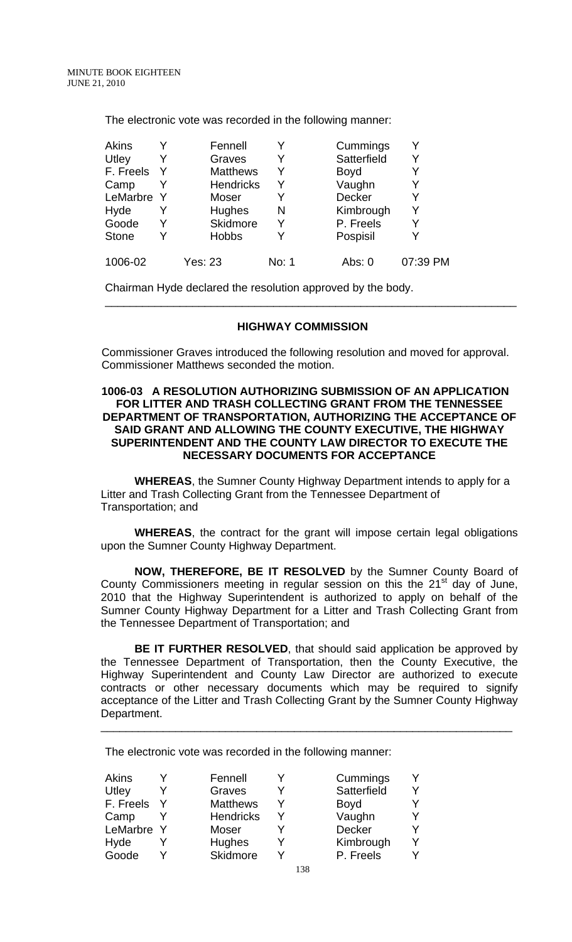The electronic vote was recorded in the following manner:

| <b>Akins</b> |   | Fennell          |       | Cummings    |          |
|--------------|---|------------------|-------|-------------|----------|
| Utley        |   | Graves           | Y     | Satterfield |          |
| F. Freels    |   | <b>Matthews</b>  | Y     | <b>Boyd</b> |          |
| Camp         |   | <b>Hendricks</b> | Y     | Vaughn      |          |
| LeMarbre     | Y | Moser            | Y     | Decker      |          |
| Hyde         |   | Hughes           | N     | Kimbrough   |          |
| Goode        |   | Skidmore         | Y     | P. Freels   |          |
| <b>Stone</b> |   | <b>Hobbs</b>     | Y     | Pospisil    |          |
| 1006-02      |   | Yes: 23          | No: 1 | Abs: 0      | 07:39 PM |

Chairman Hyde declared the resolution approved by the body.

## **HIGHWAY COMMISSION**

\_\_\_\_\_\_\_\_\_\_\_\_\_\_\_\_\_\_\_\_\_\_\_\_\_\_\_\_\_\_\_\_\_\_\_\_\_\_\_\_\_\_\_\_\_\_\_\_\_\_\_\_\_\_\_\_\_\_\_\_\_\_\_\_\_\_

 Commissioner Graves introduced the following resolution and moved for approval. Commissioner Matthews seconded the motion.

## **1006-03 A RESOLUTION AUTHORIZING SUBMISSION OF AN APPLICATION FOR LITTER AND TRASH COLLECTING GRANT FROM THE TENNESSEE DEPARTMENT OF TRANSPORTATION, AUTHORIZING THE ACCEPTANCE OF SAID GRANT AND ALLOWING THE COUNTY EXECUTIVE, THE HIGHWAY SUPERINTENDENT AND THE COUNTY LAW DIRECTOR TO EXECUTE THE NECESSARY DOCUMENTS FOR ACCEPTANCE**

**WHEREAS**, the Sumner County Highway Department intends to apply for a Litter and Trash Collecting Grant from the Tennessee Department of Transportation; and

**WHEREAS**, the contract for the grant will impose certain legal obligations upon the Sumner County Highway Department.

**NOW, THEREFORE, BE IT RESOLVED** by the Sumner County Board of County Commissioners meeting in regular session on this the 21<sup>st</sup> day of June, 2010 that the Highway Superintendent is authorized to apply on behalf of the Sumner County Highway Department for a Litter and Trash Collecting Grant from the Tennessee Department of Transportation; and

**BE IT FURTHER RESOLVED, that should said application be approved by** the Tennessee Department of Transportation, then the County Executive, the Highway Superintendent and County Law Director are authorized to execute contracts or other necessary documents which may be required to signify acceptance of the Litter and Trash Collecting Grant by the Sumner County Highway Department.

\_\_\_\_\_\_\_\_\_\_\_\_\_\_\_\_\_\_\_\_\_\_\_\_\_\_\_\_\_\_\_\_\_\_\_\_\_\_\_\_\_\_\_\_\_\_\_\_\_\_\_\_\_\_\_\_\_\_\_\_\_\_\_\_\_\_

The electronic vote was recorded in the following manner:

| Akins      | Fennell          |  | Cummings      |  |
|------------|------------------|--|---------------|--|
| Utley      | Graves           |  | Satterfield   |  |
| F. Freels  | <b>Matthews</b>  |  | <b>Boyd</b>   |  |
| Camp       | <b>Hendricks</b> |  | Vaughn        |  |
| LeMarbre Y | <b>Moser</b>     |  | <b>Decker</b> |  |
| Hyde       | Hughes           |  | Kimbrough     |  |
| Goode      | Skidmore         |  | P. Freels     |  |
|            |                  |  |               |  |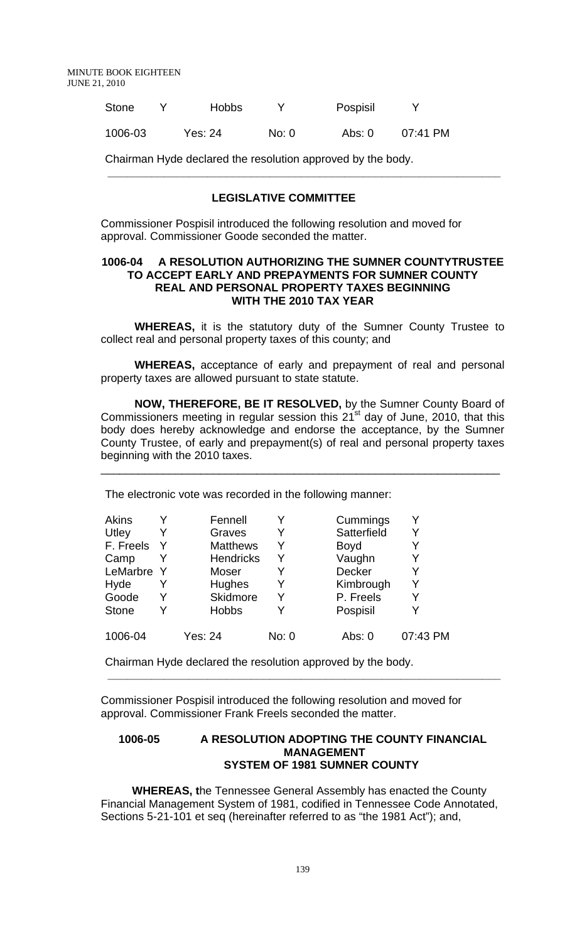MINUTE BOOK EIGHTEEN JUNE 21, 2010

| <b>Stone</b> | <b>Hobbs</b> |       | Pospisil |            |
|--------------|--------------|-------|----------|------------|
| 1006-03      | Yes: 24      | No: 0 | Abs: 0   | $07:41$ PM |

Chairman Hyde declared the resolution approved by the body.

## **LEGISLATIVE COMMITTEE**

 **\_\_\_\_\_\_\_\_\_\_\_\_\_\_\_\_\_\_\_\_\_\_\_\_\_\_\_\_\_\_\_\_\_\_\_\_\_\_\_\_\_\_\_\_\_\_\_\_\_\_\_\_\_\_\_\_\_\_\_\_\_\_\_** 

Commissioner Pospisil introduced the following resolution and moved for approval. Commissioner Goode seconded the matter.

#### **1006-04 A RESOLUTION AUTHORIZING THE SUMNER COUNTYTRUSTEE TO ACCEPT EARLY AND PREPAYMENTS FOR SUMNER COUNTY REAL AND PERSONAL PROPERTY TAXES BEGINNING WITH THE 2010 TAX YEAR**

**WHEREAS,** it is the statutory duty of the Sumner County Trustee to collect real and personal property taxes of this county; and

**WHEREAS,** acceptance of early and prepayment of real and personal property taxes are allowed pursuant to state statute.

**NOW, THEREFORE, BE IT RESOLVED,** by the Sumner County Board of Commissioners meeting in regular session this  $21<sup>st</sup>$  day of June, 2010, that this body does hereby acknowledge and endorse the acceptance, by the Sumner County Trustee, of early and prepayment(s) of real and personal property taxes beginning with the 2010 taxes.

\_\_\_\_\_\_\_\_\_\_\_\_\_\_\_\_\_\_\_\_\_\_\_\_\_\_\_\_\_\_\_\_\_\_\_\_\_\_\_\_\_\_\_\_\_\_\_\_\_\_\_\_\_\_\_\_\_\_\_\_\_\_\_\_

The electronic vote was recorded in the following manner:

| <b>Akins</b> |   | Fennell          |       | Cummings      | Y        |
|--------------|---|------------------|-------|---------------|----------|
| Utley        |   | Graves           |       | Satterfield   | Y        |
| F. Freels    |   | <b>Matthews</b>  | Y     | <b>Boyd</b>   | Y        |
| Camp         |   | <b>Hendricks</b> | Y     | Vaughn        | Y        |
| LeMarbre Y   |   | Moser            |       | <b>Decker</b> | Y        |
| Hyde         |   | Hughes           |       | Kimbrough     | Y        |
| Goode        | Y | Skidmore         | Y     | P. Freels     | Y        |
| <b>Stone</b> | Y | <b>Hobbs</b>     |       | Pospisil      | Y        |
| 1006-04      |   | <b>Yes: 24</b>   | No: 0 | Abs: 0        | 07:43 PM |

Chairman Hyde declared the resolution approved by the body.

Commissioner Pospisil introduced the following resolution and moved for approval. Commissioner Frank Freels seconded the matter.

 **\_\_\_\_\_\_\_\_\_\_\_\_\_\_\_\_\_\_\_\_\_\_\_\_\_\_\_\_\_\_\_\_\_\_\_\_\_\_\_\_\_\_\_\_\_\_\_\_\_\_\_\_\_\_\_\_\_\_\_\_\_\_\_** 

## **1006-05 A RESOLUTION ADOPTING THE COUNTY FINANCIAL MANAGEMENT SYSTEM OF 1981 SUMNER COUNTY**

 **WHEREAS, t**he Tennessee General Assembly has enacted the County Financial Management System of 1981, codified in Tennessee Code Annotated, Sections 5-21-101 et seq (hereinafter referred to as "the 1981 Act"); and,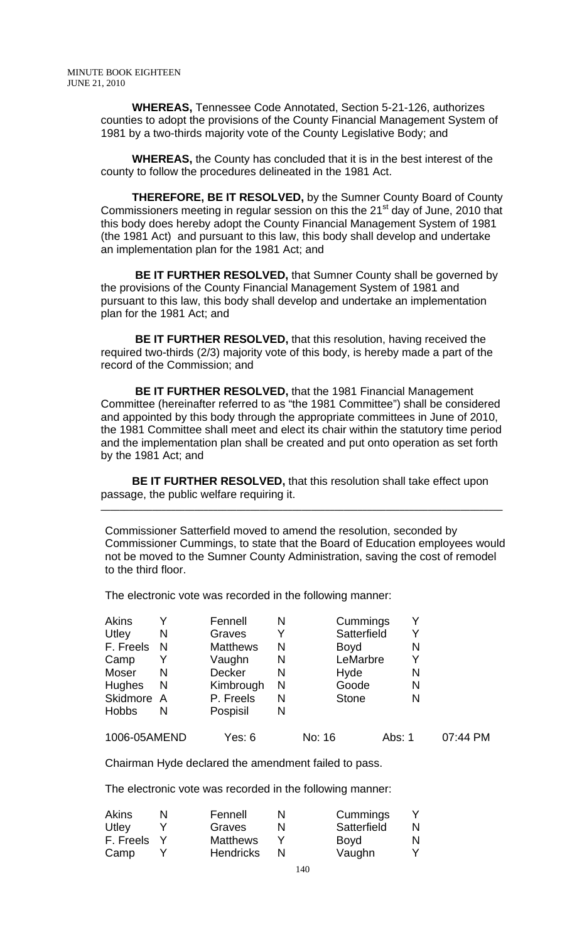**WHEREAS,** Tennessee Code Annotated, Section 5-21-126, authorizes counties to adopt the provisions of the County Financial Management System of 1981 by a two-thirds majority vote of the County Legislative Body; and

 **WHEREAS,** the County has concluded that it is in the best interest of the county to follow the procedures delineated in the 1981 Act.

 **THEREFORE, BE IT RESOLVED,** by the Sumner County Board of County Commissioners meeting in regular session on this the 21<sup>st</sup> day of June, 2010 that this body does hereby adopt the County Financial Management System of 1981 (the 1981 Act) and pursuant to this law, this body shall develop and undertake an implementation plan for the 1981 Act; and

 **BE IT FURTHER RESOLVED,** that Sumner County shall be governed by the provisions of the County Financial Management System of 1981 and pursuant to this law, this body shall develop and undertake an implementation plan for the 1981 Act; and

 **BE IT FURTHER RESOLVED,** that this resolution, having received the required two-thirds (2/3) majority vote of this body, is hereby made a part of the record of the Commission; and

 **BE IT FURTHER RESOLVED,** that the 1981 Financial Management Committee (hereinafter referred to as "the 1981 Committee") shall be considered and appointed by this body through the appropriate committees in June of 2010, the 1981 Committee shall meet and elect its chair within the statutory time period and the implementation plan shall be created and put onto operation as set forth by the 1981 Act; and

 **BE IT FURTHER RESOLVED,** that this resolution shall take effect upon passage, the public welfare requiring it.

 **\_\_\_\_\_\_\_\_\_\_\_\_\_\_\_\_\_\_\_\_\_\_\_\_\_\_\_\_\_\_\_\_\_\_\_\_\_\_\_\_\_\_\_\_\_\_\_\_\_\_\_\_\_\_\_\_\_\_\_\_\_\_\_\_\_\_\_\_\_\_\_\_\_\_\_\_\_\_\_\_\_\_\_\_\_\_** 

Commissioner Satterfield moved to amend the resolution, seconded by Commissioner Cummings, to state that the Board of Education employees would not be moved to the Sumner County Administration, saving the cost of remodel to the third floor.

The electronic vote was recorded in the following manner:

| <b>Akins</b>  |   | Fennell         | N | Cummings     |        | Y |          |
|---------------|---|-----------------|---|--------------|--------|---|----------|
| Utley         | N | Graves          | Y | Satterfield  |        | Y |          |
| F. Freels     | N | <b>Matthews</b> | N | <b>Boyd</b>  |        | N |          |
| Camp          |   | Vaughn          | N | LeMarbre     |        | Y |          |
| Moser         | N | <b>Decker</b>   | N | Hyde         |        | N |          |
| <b>Hughes</b> | N | Kimbrough       | N | Goode        |        | N |          |
| Skidmore A    |   | P. Freels       | N | <b>Stone</b> |        | N |          |
| <b>Hobbs</b>  | N | Pospisil        | N |              |        |   |          |
| 1006-05AMEND  |   | Yes: 6          |   | No: 16       | Abs: 1 |   | 07:44 PM |

Chairman Hyde declared the amendment failed to pass.

The electronic vote was recorded in the following manner:

| <b>Akins</b> | N | Fennell          | N | Cummings    |   |
|--------------|---|------------------|---|-------------|---|
| Utley        |   | Graves           |   | Satterfield | N |
| F. Freels    |   | <b>Matthews</b>  |   | <b>Boyd</b> |   |
| Camp         |   | <b>Hendricks</b> |   | Vaughn      |   |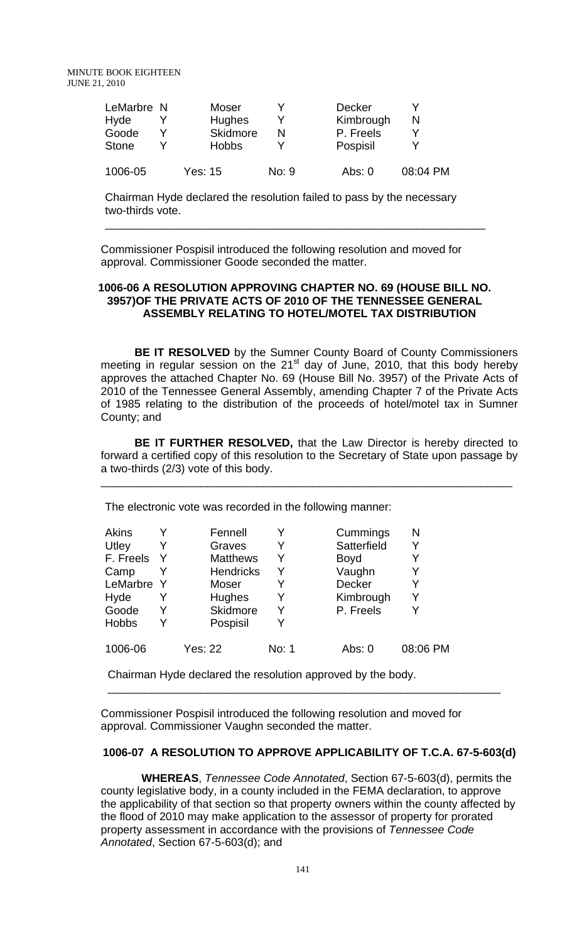| LeMarbre N   | Moser         |       | <b>Decker</b> |          |
|--------------|---------------|-------|---------------|----------|
| Hyde         | <b>Hughes</b> |       | Kimbrough     |          |
| Goode        | Skidmore      | N     | P. Freels     |          |
| <b>Stone</b> | <b>Hobbs</b>  |       | Pospisil      |          |
| 1006-05      | Yes: 15       | No: 9 | Abs: $0$      | 08:04 PM |

Chairman Hyde declared the resolution failed to pass by the necessary two-thirds vote.

Commissioner Pospisil introduced the following resolution and moved for approval. Commissioner Goode seconded the matter.

## **1006-06 A RESOLUTION APPROVING CHAPTER NO. 69 (HOUSE BILL NO. 3957)OF THE PRIVATE ACTS OF 2010 OF THE TENNESSEE GENERAL ASSEMBLY RELATING TO HOTEL/MOTEL TAX DISTRIBUTION**

\_\_\_\_\_\_\_\_\_\_\_\_\_\_\_\_\_\_\_\_\_\_\_\_\_\_\_\_\_\_\_\_\_\_\_\_\_\_\_\_\_\_\_\_\_\_\_\_\_\_\_\_\_\_\_\_\_\_\_\_\_

**BE IT RESOLVED** by the Sumner County Board of County Commissioners meeting in regular session on the  $21<sup>st</sup>$  day of June, 2010, that this body hereby approves the attached Chapter No. 69 (House Bill No. 3957) of the Private Acts of 2010 of the Tennessee General Assembly, amending Chapter 7 of the Private Acts of 1985 relating to the distribution of the proceeds of hotel/motel tax in Sumner County; and

**BE IT FURTHER RESOLVED,** that the Law Director is hereby directed to forward a certified copy of this resolution to the Secretary of State upon passage by a two-thirds (2/3) vote of this body.

\_\_\_\_\_\_\_\_\_\_\_\_\_\_\_\_\_\_\_\_\_\_\_\_\_\_\_\_\_\_\_\_\_\_\_\_\_\_\_\_\_\_\_\_\_\_\_\_\_\_\_\_\_\_\_\_\_\_\_\_\_\_\_\_\_\_

The electronic vote was recorded in the following manner:

| Akins<br>Utley<br>F. Freels<br>Camp<br>LeMarbre Y<br>Hyde<br>Goode | Y<br>Y<br>Y | Fennell<br>Graves<br><b>Matthews</b><br><b>Hendricks</b><br>Moser<br>Hughes<br>Skidmore | Y<br>Y<br>Y<br>Y<br>Y<br>Y<br>Y | Cummings<br>Satterfield<br><b>Boyd</b><br>Vaughn<br>Decker<br>Kimbrough<br>P. Freels | N        |
|--------------------------------------------------------------------|-------------|-----------------------------------------------------------------------------------------|---------------------------------|--------------------------------------------------------------------------------------|----------|
| <b>Hobbs</b>                                                       | Y           | Pospisil                                                                                | Y                               |                                                                                      |          |
| 1006-06                                                            |             | <b>Yes: 22</b>                                                                          | No: 1                           | Abs: $0$                                                                             | 08:06 PM |

Chairman Hyde declared the resolution approved by the body.

Commissioner Pospisil introduced the following resolution and moved for approval. Commissioner Vaughn seconded the matter.

\_\_\_\_\_\_\_\_\_\_\_\_\_\_\_\_\_\_\_\_\_\_\_\_\_\_\_\_\_\_\_\_\_\_\_\_\_\_\_\_\_\_\_\_\_\_\_\_\_\_\_\_\_\_\_\_\_\_\_\_\_\_\_

## **1006-07 A RESOLUTION TO APPROVE APPLICABILITY OF T.C.A. 67-5-603(d)**

 **WHEREAS**, *Tennessee Code Annotated*, Section 67-5-603(d), permits the county legislative body, in a county included in the FEMA declaration, to approve the applicability of that section so that property owners within the county affected by the flood of 2010 may make application to the assessor of property for prorated property assessment in accordance with the provisions of *Tennessee Code Annotated*, Section 67-5-603(d); and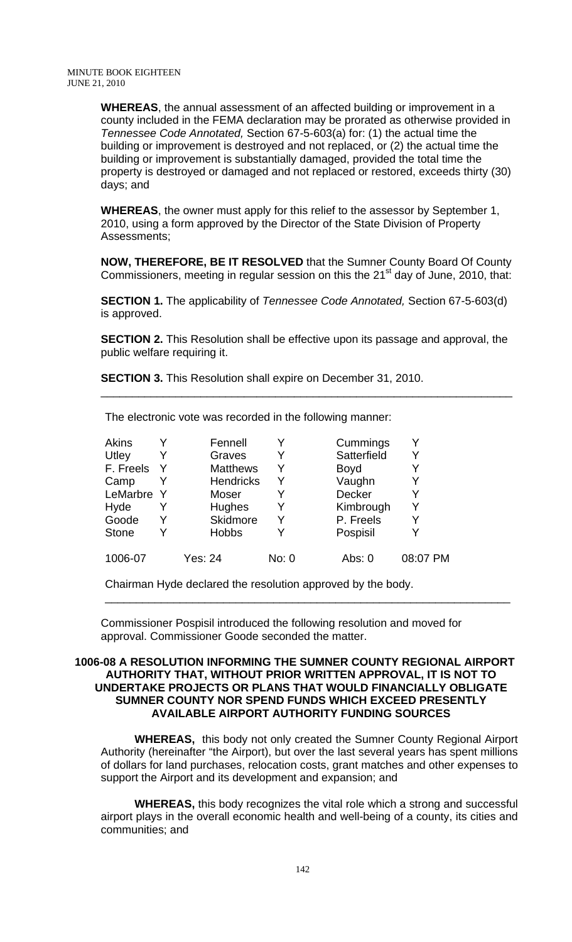**WHEREAS**, the annual assessment of an affected building or improvement in a county included in the FEMA declaration may be prorated as otherwise provided in *Tennessee Code Annotated,* Section 67-5-603(a) for: (1) the actual time the building or improvement is destroyed and not replaced, or (2) the actual time the building or improvement is substantially damaged, provided the total time the property is destroyed or damaged and not replaced or restored, exceeds thirty (30) days; and

**WHEREAS**, the owner must apply for this relief to the assessor by September 1, 2010, using a form approved by the Director of the State Division of Property Assessments;

**NOW, THEREFORE, BE IT RESOLVED** that the Sumner County Board Of County Commissioners, meeting in regular session on this the 21<sup>st</sup> day of June, 2010, that:

**SECTION 1.** The applicability of *Tennessee Code Annotated,* Section 67-5-603(d) is approved.

**SECTION 2.** This Resolution shall be effective upon its passage and approval, the public welfare requiring it.

\_\_\_\_\_\_\_\_\_\_\_\_\_\_\_\_\_\_\_\_\_\_\_\_\_\_\_\_\_\_\_\_\_\_\_\_\_\_\_\_\_\_\_\_\_\_\_\_\_\_\_\_\_\_\_\_\_\_\_\_\_\_\_\_\_\_

**SECTION 3.** This Resolution shall expire on December 31, 2010.

| Akins        |              | Fennell          | Y     | Cummings      |          |
|--------------|--------------|------------------|-------|---------------|----------|
| Utley        |              | Graves           | Y     | Satterfield   |          |
| F. Freels    |              | <b>Matthews</b>  | Y     | <b>Boyd</b>   |          |
| Camp         |              | <b>Hendricks</b> | Y     | Vaughn        |          |
| LeMarbre     | <sup>Y</sup> | Moser            | Y     | <b>Decker</b> |          |
| Hyde         |              | Hughes           | Y     | Kimbrough     |          |
| Goode        |              | Skidmore         | Y     | P. Freels     |          |
| <b>Stone</b> |              | <b>Hobbs</b>     | Y     | Pospisil      |          |
| 1006-07      |              | Yes: 24          | No: 0 | Abs: 0        | 08:07 PM |

The electronic vote was recorded in the following manner:

Chairman Hyde declared the resolution approved by the body.

Commissioner Pospisil introduced the following resolution and moved for approval. Commissioner Goode seconded the matter.

## **1006-08 A RESOLUTION INFORMING THE SUMNER COUNTY REGIONAL AIRPORT AUTHORITY THAT, WITHOUT PRIOR WRITTEN APPROVAL, IT IS NOT TO UNDERTAKE PROJECTS OR PLANS THAT WOULD FINANCIALLY OBLIGATE SUMNER COUNTY NOR SPEND FUNDS WHICH EXCEED PRESENTLY AVAILABLE AIRPORT AUTHORITY FUNDING SOURCES**

\_\_\_\_\_\_\_\_\_\_\_\_\_\_\_\_\_\_\_\_\_\_\_\_\_\_\_\_\_\_\_\_\_\_\_\_\_\_\_\_\_\_\_\_\_\_\_\_\_\_\_\_\_\_\_\_\_\_\_\_\_\_\_\_\_

**WHEREAS,** this body not only created the Sumner County Regional Airport Authority (hereinafter "the Airport), but over the last several years has spent millions of dollars for land purchases, relocation costs, grant matches and other expenses to support the Airport and its development and expansion; and

**WHEREAS,** this body recognizes the vital role which a strong and successful airport plays in the overall economic health and well-being of a county, its cities and communities; and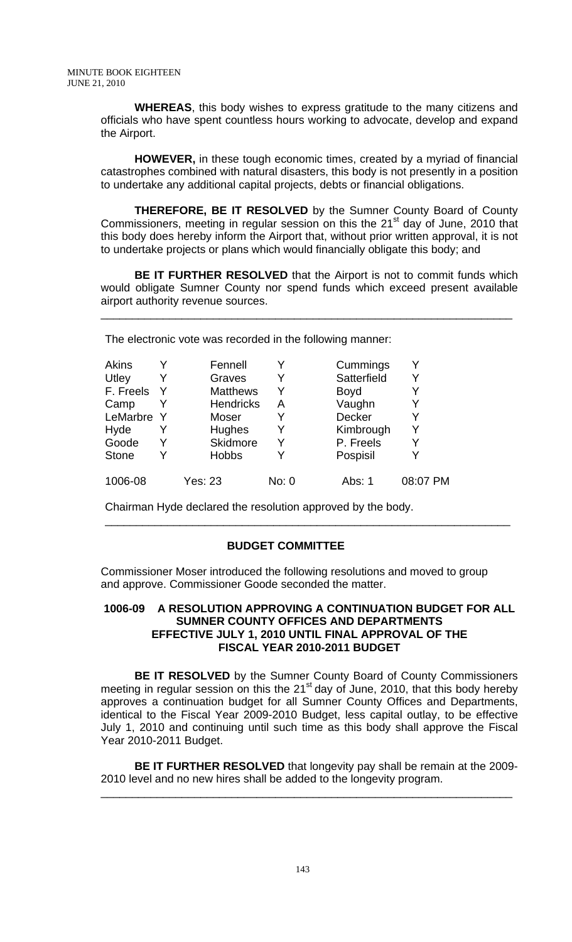**WHEREAS**, this body wishes to express gratitude to the many citizens and officials who have spent countless hours working to advocate, develop and expand the Airport.

**HOWEVER,** in these tough economic times, created by a myriad of financial catastrophes combined with natural disasters, this body is not presently in a position to undertake any additional capital projects, debts or financial obligations.

**THEREFORE, BE IT RESOLVED** by the Sumner County Board of County Commissioners, meeting in regular session on this the  $21<sup>st</sup>$  day of June, 2010 that this body does hereby inform the Airport that, without prior written approval, it is not to undertake projects or plans which would financially obligate this body; and

**BE IT FURTHER RESOLVED** that the Airport is not to commit funds which would obligate Sumner County nor spend funds which exceed present available airport authority revenue sources.

\_\_\_\_\_\_\_\_\_\_\_\_\_\_\_\_\_\_\_\_\_\_\_\_\_\_\_\_\_\_\_\_\_\_\_\_\_\_\_\_\_\_\_\_\_\_\_\_\_\_\_\_\_\_\_\_\_\_\_\_\_\_\_\_\_\_

The electronic vote was recorded in the following manner:

| Akins        |     | Fennell          |       | Cummings    | Y        |
|--------------|-----|------------------|-------|-------------|----------|
| Utley        | Y   | Graves           | Y     | Satterfield | Y        |
| F. Freels    | - Y | <b>Matthews</b>  |       | <b>Boyd</b> |          |
| Camp         |     | <b>Hendricks</b> | Α     | Vaughn      | Y        |
| LeMarbre Y   |     | Moser            | Y     | Decker      | Y        |
| Hyde         | Y   | Hughes           |       | Kimbrough   | Y        |
| Goode        | Y   | Skidmore         |       | P. Freels   | Y        |
| <b>Stone</b> | Y   | <b>Hobbs</b>     |       | Pospisil    | Y        |
| 1006-08      |     | Yes: 23          | No: 0 | Abs: 1      | 08:07 PM |

Chairman Hyde declared the resolution approved by the body.

## **BUDGET COMMITTEE**

Commissioner Moser introduced the following resolutions and moved to group and approve. Commissioner Goode seconded the matter.

## **1006-09 A RESOLUTION APPROVING A CONTINUATION BUDGET FOR ALL SUMNER COUNTY OFFICES AND DEPARTMENTS EFFECTIVE JULY 1, 2010 UNTIL FINAL APPROVAL OF THE FISCAL YEAR 2010-2011 BUDGET**

\_\_\_\_\_\_\_\_\_\_\_\_\_\_\_\_\_\_\_\_\_\_\_\_\_\_\_\_\_\_\_\_\_\_\_\_\_\_\_\_\_\_\_\_\_\_\_\_\_\_\_\_\_\_\_\_\_\_\_\_\_\_\_\_\_

**BE IT RESOLVED** by the Sumner County Board of County Commissioners meeting in regular session on this the  $21<sup>st</sup>$  day of June, 2010, that this body hereby approves a continuation budget for all Sumner County Offices and Departments, identical to the Fiscal Year 2009-2010 Budget, less capital outlay, to be effective July 1, 2010 and continuing until such time as this body shall approve the Fiscal Year 2010-2011 Budget.

**BE IT FURTHER RESOLVED** that longevity pay shall be remain at the 2009- 2010 level and no new hires shall be added to the longevity program.

\_\_\_\_\_\_\_\_\_\_\_\_\_\_\_\_\_\_\_\_\_\_\_\_\_\_\_\_\_\_\_\_\_\_\_\_\_\_\_\_\_\_\_\_\_\_\_\_\_\_\_\_\_\_\_\_\_\_\_\_\_\_\_\_\_\_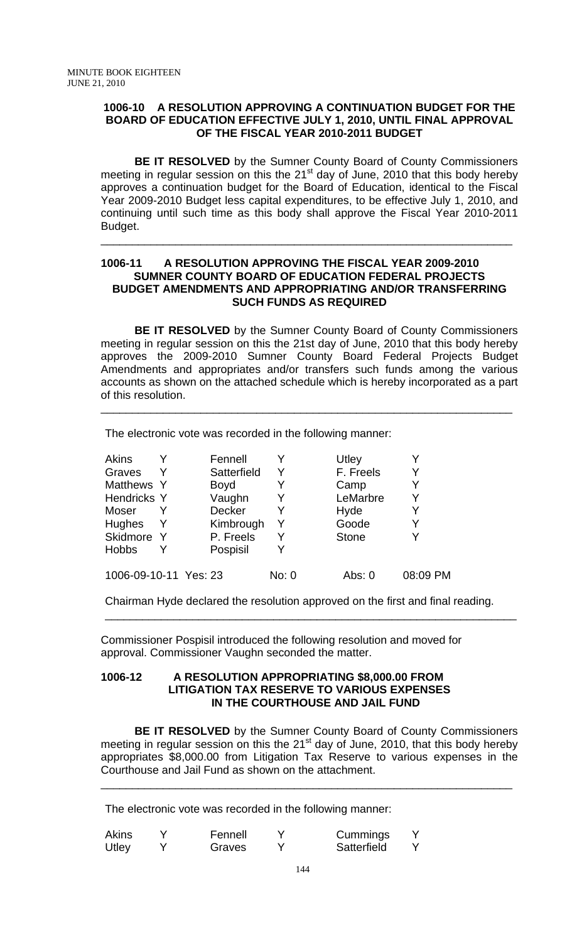## **1006-10 A RESOLUTION APPROVING A CONTINUATION BUDGET FOR THE BOARD OF EDUCATION EFFECTIVE JULY 1, 2010, UNTIL FINAL APPROVAL OF THE FISCAL YEAR 2010-2011 BUDGET**

**BE IT RESOLVED** by the Sumner County Board of County Commissioners meeting in regular session on this the 21 $<sup>st</sup>$  day of June, 2010 that this body hereby</sup> approves a continuation budget for the Board of Education, identical to the Fiscal Year 2009-2010 Budget less capital expenditures, to be effective July 1, 2010, and continuing until such time as this body shall approve the Fiscal Year 2010-2011 Budget.

\_\_\_\_\_\_\_\_\_\_\_\_\_\_\_\_\_\_\_\_\_\_\_\_\_\_\_\_\_\_\_\_\_\_\_\_\_\_\_\_\_\_\_\_\_\_\_\_\_\_\_\_\_\_\_\_\_\_\_\_\_\_\_\_\_\_

## **1006-11 A RESOLUTION APPROVING THE FISCAL YEAR 2009-2010 SUMNER COUNTY BOARD OF EDUCATION FEDERAL PROJECTS BUDGET AMENDMENTS AND APPROPRIATING AND/OR TRANSFERRING SUCH FUNDS AS REQUIRED**

**BE IT RESOLVED** by the Sumner County Board of County Commissioners meeting in regular session on this the 21st day of June, 2010 that this body hereby approves the 2009-2010 Sumner County Board Federal Projects Budget Amendments and appropriates and/or transfers such funds among the various accounts as shown on the attached schedule which is hereby incorporated as a part of this resolution.

\_\_\_\_\_\_\_\_\_\_\_\_\_\_\_\_\_\_\_\_\_\_\_\_\_\_\_\_\_\_\_\_\_\_\_\_\_\_\_\_\_\_\_\_\_\_\_\_\_\_\_\_\_\_\_\_\_\_\_\_\_\_\_\_\_\_

The electronic vote was recorded in the following manner:

| Akins                 |   | Fennell     |       | Utley        |          |
|-----------------------|---|-------------|-------|--------------|----------|
| Graves                |   | Satterfield | Y     | F. Freels    | Y        |
| Matthews Y            |   | <b>Boyd</b> |       | Camp         |          |
| Hendricks Y           |   | Vaughn      |       | LeMarbre     |          |
| Moser                 |   | Decker      | Y     | Hyde         |          |
| Hughes                | Y | Kimbrough   | Y     | Goode        | Y        |
| Skidmore Y            |   | P. Freels   | Y     | <b>Stone</b> |          |
| <b>Hobbs</b>          |   | Pospisil    |       |              |          |
| 1006-09-10-11 Yes: 23 |   |             | No: 0 | Abs: 0       | 08:09 PM |

Chairman Hyde declared the resolution approved on the first and final reading.

\_\_\_\_\_\_\_\_\_\_\_\_\_\_\_\_\_\_\_\_\_\_\_\_\_\_\_\_\_\_\_\_\_\_\_\_\_\_\_\_\_\_\_\_\_\_\_\_\_\_\_\_\_\_\_\_\_\_\_\_\_\_\_\_\_\_

Commissioner Pospisil introduced the following resolution and moved for approval. Commissioner Vaughn seconded the matter.

## **1006-12 A RESOLUTION APPROPRIATING \$8,000.00 FROM LITIGATION TAX RESERVE TO VARIOUS EXPENSES IN THE COURTHOUSE AND JAIL FUND**

 **BE IT RESOLVED** by the Sumner County Board of County Commissioners meeting in regular session on this the  $21<sup>st</sup>$  day of June, 2010, that this body hereby appropriates \$8,000.00 from Litigation Tax Reserve to various expenses in the Courthouse and Jail Fund as shown on the attachment.

\_\_\_\_\_\_\_\_\_\_\_\_\_\_\_\_\_\_\_\_\_\_\_\_\_\_\_\_\_\_\_\_\_\_\_\_\_\_\_\_\_\_\_\_\_\_\_\_\_\_\_\_\_\_\_\_\_\_\_\_\_\_\_\_\_\_

The electronic vote was recorded in the following manner:

| <b>Akins</b> | Fennell | Cummings    |  |
|--------------|---------|-------------|--|
| Utley        | Graves  | Satterfield |  |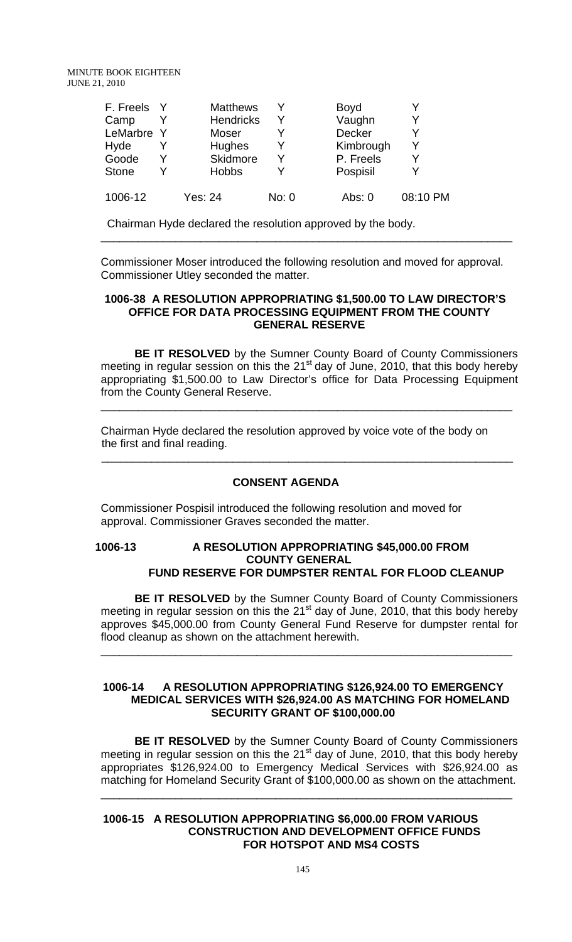| F. Freels    |   | <b>Matthews</b>  |       | Boyd          |          |
|--------------|---|------------------|-------|---------------|----------|
| Camp         |   | <b>Hendricks</b> | v     | Vaughn        |          |
| LeMarbre Y   |   | Moser            |       | <b>Decker</b> |          |
| Hyde         |   | <b>Hughes</b>    |       | Kimbrough     |          |
| Goode        | v | Skidmore         | v     | P. Freels     |          |
| <b>Stone</b> | V | <b>Hobbs</b>     |       | Pospisil      |          |
| 1006-12      |   | Yes: 24          | No: 0 | Abs: 0        | 08:10 PM |

Chairman Hyde declared the resolution approved by the body.

Commissioner Moser introduced the following resolution and moved for approval. Commissioner Utley seconded the matter.

\_\_\_\_\_\_\_\_\_\_\_\_\_\_\_\_\_\_\_\_\_\_\_\_\_\_\_\_\_\_\_\_\_\_\_\_\_\_\_\_\_\_\_\_\_\_\_\_\_\_\_\_\_\_\_\_\_\_\_\_\_\_\_\_\_\_

#### **1006-38 A RESOLUTION APPROPRIATING \$1,500.00 TO LAW DIRECTOR'S OFFICE FOR DATA PROCESSING EQUIPMENT FROM THE COUNTY GENERAL RESERVE**

**BE IT RESOLVED** by the Sumner County Board of County Commissioners meeting in regular session on this the  $21<sup>st</sup>$  day of June, 2010, that this body hereby appropriating \$1,500.00 to Law Director's office for Data Processing Equipment from the County General Reserve.

\_\_\_\_\_\_\_\_\_\_\_\_\_\_\_\_\_\_\_\_\_\_\_\_\_\_\_\_\_\_\_\_\_\_\_\_\_\_\_\_\_\_\_\_\_\_\_\_\_\_\_\_\_\_\_\_\_\_\_\_\_\_\_\_\_\_

 Chairman Hyde declared the resolution approved by voice vote of the body on the first and final reading.

## **CONSENT AGENDA**

 $\frac{1}{2}$  ,  $\frac{1}{2}$  ,  $\frac{1}{2}$  ,  $\frac{1}{2}$  ,  $\frac{1}{2}$  ,  $\frac{1}{2}$  ,  $\frac{1}{2}$  ,  $\frac{1}{2}$  ,  $\frac{1}{2}$  ,  $\frac{1}{2}$  ,  $\frac{1}{2}$  ,  $\frac{1}{2}$  ,  $\frac{1}{2}$  ,  $\frac{1}{2}$  ,  $\frac{1}{2}$  ,  $\frac{1}{2}$  ,  $\frac{1}{2}$  ,  $\frac{1}{2}$  ,  $\frac{1$ 

Commissioner Pospisil introduced the following resolution and moved for approval. Commissioner Graves seconded the matter.

## **1006-13 A RESOLUTION APPROPRIATING \$45,000.00 FROM COUNTY GENERAL FUND RESERVE FOR DUMPSTER RENTAL FOR FLOOD CLEANUP**

 **BE IT RESOLVED** by the Sumner County Board of County Commissioners meeting in regular session on this the 21 $^{\rm st}$  day of June, 2010, that this body hereby approves \$45,000.00 from County General Fund Reserve for dumpster rental for flood cleanup as shown on the attachment herewith.

\_\_\_\_\_\_\_\_\_\_\_\_\_\_\_\_\_\_\_\_\_\_\_\_\_\_\_\_\_\_\_\_\_\_\_\_\_\_\_\_\_\_\_\_\_\_\_\_\_\_\_\_\_\_\_\_\_\_\_\_\_\_\_\_\_\_

## **1006-14 A RESOLUTION APPROPRIATING \$126,924.00 TO EMERGENCY MEDICAL SERVICES WITH \$26,924.00 AS MATCHING FOR HOMELAND SECURITY GRANT OF \$100,000.00**

**BE IT RESOLVED** by the Sumner County Board of County Commissioners meeting in regular session on this the  $21<sup>st</sup>$  day of June, 2010, that this body hereby appropriates \$126,924.00 to Emergency Medical Services with \$26,924.00 as matching for Homeland Security Grant of \$100,000.00 as shown on the attachment.

\_\_\_\_\_\_\_\_\_\_\_\_\_\_\_\_\_\_\_\_\_\_\_\_\_\_\_\_\_\_\_\_\_\_\_\_\_\_\_\_\_\_\_\_\_\_\_\_\_\_\_\_\_\_\_\_\_\_\_\_\_\_\_\_\_\_

## **1006-15 A RESOLUTION APPROPRIATING \$6,000.00 FROM VARIOUS CONSTRUCTION AND DEVELOPMENT OFFICE FUNDS FOR HOTSPOT AND MS4 COSTS**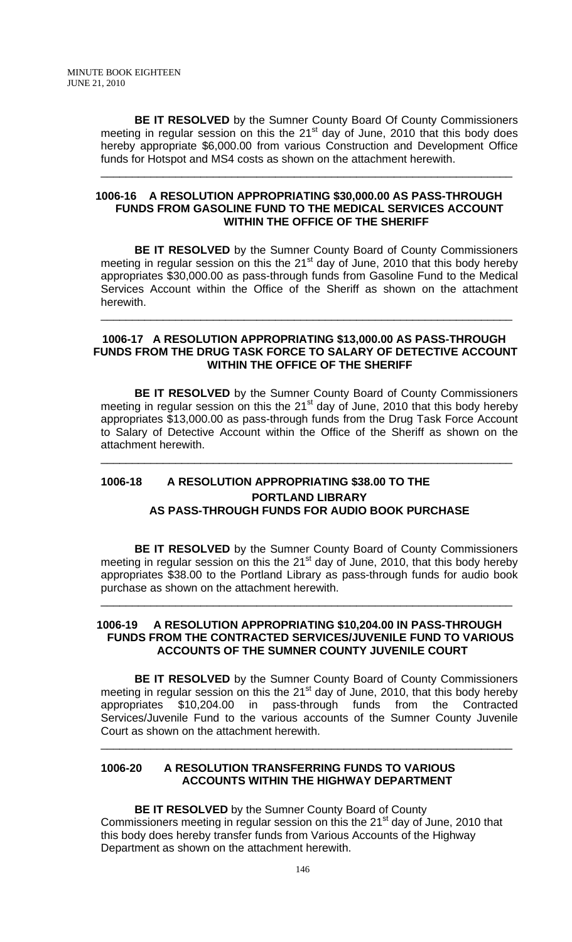**BE IT RESOLVED** by the Sumner County Board Of County Commissioners meeting in regular session on this the  $21<sup>st</sup>$  day of June, 2010 that this body does hereby appropriate \$6,000.00 from various Construction and Development Office funds for Hotspot and MS4 costs as shown on the attachment herewith.

\_\_\_\_\_\_\_\_\_\_\_\_\_\_\_\_\_\_\_\_\_\_\_\_\_\_\_\_\_\_\_\_\_\_\_\_\_\_\_\_\_\_\_\_\_\_\_\_\_\_\_\_\_\_\_\_\_\_\_\_\_\_\_\_\_\_

## **1006-16 A RESOLUTION APPROPRIATING \$30,000.00 AS PASS-THROUGH FUNDS FROM GASOLINE FUND TO THE MEDICAL SERVICES ACCOUNT WITHIN THE OFFICE OF THE SHERIFF**

 **BE IT RESOLVED** by the Sumner County Board of County Commissioners meeting in regular session on this the 21<sup>st</sup> day of June, 2010 that this body hereby appropriates \$30,000.00 as pass-through funds from Gasoline Fund to the Medical Services Account within the Office of the Sheriff as shown on the attachment herewith.

#### **1006-17 A RESOLUTION APPROPRIATING \$13,000.00 AS PASS-THROUGH FUNDS FROM THE DRUG TASK FORCE TO SALARY OF DETECTIVE ACCOUNT WITHIN THE OFFICE OF THE SHERIFF**

\_\_\_\_\_\_\_\_\_\_\_\_\_\_\_\_\_\_\_\_\_\_\_\_\_\_\_\_\_\_\_\_\_\_\_\_\_\_\_\_\_\_\_\_\_\_\_\_\_\_\_\_\_\_\_\_\_\_\_\_\_\_\_\_\_\_

 **BE IT RESOLVED** by the Sumner County Board of County Commissioners meeting in regular session on this the 21<sup>st</sup> day of June, 2010 that this body hereby appropriates \$13,000.00 as pass-through funds from the Drug Task Force Account to Salary of Detective Account within the Office of the Sheriff as shown on the attachment herewith.

\_\_\_\_\_\_\_\_\_\_\_\_\_\_\_\_\_\_\_\_\_\_\_\_\_\_\_\_\_\_\_\_\_\_\_\_\_\_\_\_\_\_\_\_\_\_\_\_\_\_\_\_\_\_\_\_\_\_\_\_\_\_\_\_\_\_

## **1006-18 A RESOLUTION APPROPRIATING \$38.00 TO THE PORTLAND LIBRARY AS PASS-THROUGH FUNDS FOR AUDIO BOOK PURCHASE**

**BE IT RESOLVED** by the Sumner County Board of County Commissioners meeting in regular session on this the 21 $^{\rm st}$  day of June, 2010, that this body hereby appropriates \$38.00 to the Portland Library as pass-through funds for audio book purchase as shown on the attachment herewith.

## **1006-19 A RESOLUTION APPROPRIATING \$10,204.00 IN PASS-THROUGH FUNDS FROM THE CONTRACTED SERVICES/JUVENILE FUND TO VARIOUS ACCOUNTS OF THE SUMNER COUNTY JUVENILE COURT**

\_\_\_\_\_\_\_\_\_\_\_\_\_\_\_\_\_\_\_\_\_\_\_\_\_\_\_\_\_\_\_\_\_\_\_\_\_\_\_\_\_\_\_\_\_\_\_\_\_\_\_\_\_\_\_\_\_\_\_\_\_\_\_\_\_\_

**BE IT RESOLVED** by the Sumner County Board of County Commissioners meeting in regular session on this the  $21<sup>st</sup>$  day of June, 2010, that this body hereby appropriates \$10,204.00 in pass-through funds from the Contracted Services/Juvenile Fund to the various accounts of the Sumner County Juvenile Court as shown on the attachment herewith.

\_\_\_\_\_\_\_\_\_\_\_\_\_\_\_\_\_\_\_\_\_\_\_\_\_\_\_\_\_\_\_\_\_\_\_\_\_\_\_\_\_\_\_\_\_\_\_\_\_\_\_\_\_\_\_\_\_\_\_\_\_\_\_\_\_\_

## **1006-20 A RESOLUTION TRANSFERRING FUNDS TO VARIOUS ACCOUNTS WITHIN THE HIGHWAY DEPARTMENT**

# **BE IT RESOLVED** by the Sumner County Board of County Commissioners meeting in regular session on this the 21<sup>st</sup> day of June, 2010 that

this body does hereby transfer funds from Various Accounts of the Highway Department as shown on the attachment herewith.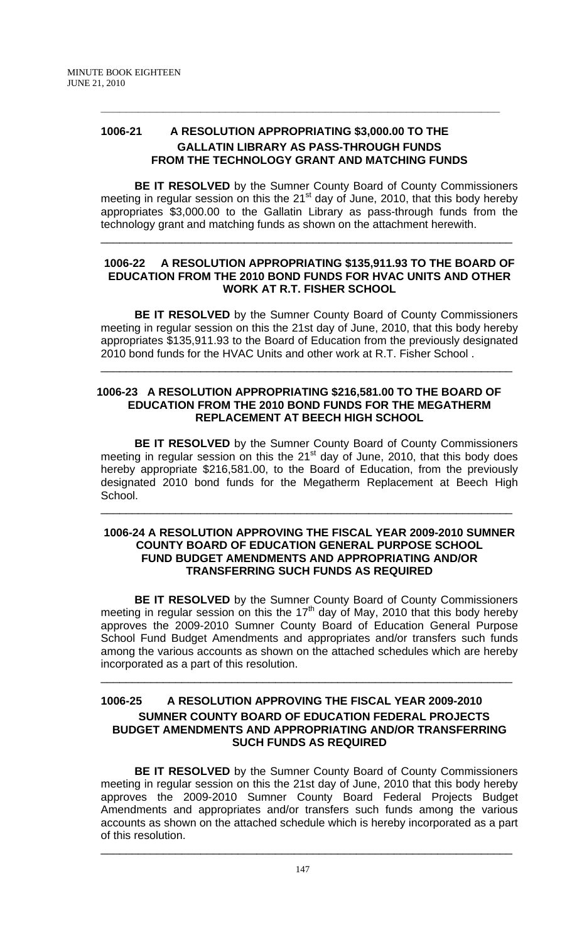## **1006-21 A RESOLUTION APPROPRIATING \$3,000.00 TO THE GALLATIN LIBRARY AS PASS-THROUGH FUNDS FROM THE TECHNOLOGY GRANT AND MATCHING FUNDS**

**\_\_\_\_\_\_\_\_\_\_\_\_\_\_\_\_\_\_\_\_\_\_\_\_\_\_\_\_\_\_\_\_\_\_\_\_\_\_\_\_\_\_\_\_\_\_\_\_\_\_\_\_\_\_\_\_\_\_\_\_\_\_\_\_**

**BE IT RESOLVED** by the Sumner County Board of County Commissioners meeting in regular session on this the  $21<sup>st</sup>$  day of June, 2010, that this body hereby appropriates \$3,000.00 to the Gallatin Library as pass-through funds from the technology grant and matching funds as shown on the attachment herewith.

\_\_\_\_\_\_\_\_\_\_\_\_\_\_\_\_\_\_\_\_\_\_\_\_\_\_\_\_\_\_\_\_\_\_\_\_\_\_\_\_\_\_\_\_\_\_\_\_\_\_\_\_\_\_\_\_\_\_\_\_\_\_\_\_\_\_

## **1006-22 A RESOLUTION APPROPRIATING \$135,911.93 TO THE BOARD OF EDUCATION FROM THE 2010 BOND FUNDS FOR HVAC UNITS AND OTHER WORK AT R.T. FISHER SCHOOL**

**BE IT RESOLVED** by the Sumner County Board of County Commissioners meeting in regular session on this the 21st day of June, 2010, that this body hereby appropriates \$135,911.93 to the Board of Education from the previously designated 2010 bond funds for the HVAC Units and other work at R.T. Fisher School .

\_\_\_\_\_\_\_\_\_\_\_\_\_\_\_\_\_\_\_\_\_\_\_\_\_\_\_\_\_\_\_\_\_\_\_\_\_\_\_\_\_\_\_\_\_\_\_\_\_\_\_\_\_\_\_\_\_\_\_\_\_\_\_\_\_\_

## **1006-23 A RESOLUTION APPROPRIATING \$216,581.00 TO THE BOARD OF EDUCATION FROM THE 2010 BOND FUNDS FOR THE MEGATHERM REPLACEMENT AT BEECH HIGH SCHOOL**

**BE IT RESOLVED** by the Sumner County Board of County Commissioners meeting in regular session on this the  $21<sup>st</sup>$  day of June, 2010, that this body does hereby appropriate \$216,581.00, to the Board of Education, from the previously designated 2010 bond funds for the Megatherm Replacement at Beech High School.

\_\_\_\_\_\_\_\_\_\_\_\_\_\_\_\_\_\_\_\_\_\_\_\_\_\_\_\_\_\_\_\_\_\_\_\_\_\_\_\_\_\_\_\_\_\_\_\_\_\_\_\_\_\_\_\_\_\_\_\_\_\_\_\_\_\_

## **1006-24 A RESOLUTION APPROVING THE FISCAL YEAR 2009-2010 SUMNER COUNTY BOARD OF EDUCATION GENERAL PURPOSE SCHOOL FUND BUDGET AMENDMENTS AND APPROPRIATING AND/OR TRANSFERRING SUCH FUNDS AS REQUIRED**

**BE IT RESOLVED** by the Sumner County Board of County Commissioners meeting in regular session on this the 17<sup>th</sup> day of May, 2010 that this body hereby approves the 2009-2010 Sumner County Board of Education General Purpose School Fund Budget Amendments and appropriates and/or transfers such funds among the various accounts as shown on the attached schedules which are hereby incorporated as a part of this resolution.

\_\_\_\_\_\_\_\_\_\_\_\_\_\_\_\_\_\_\_\_\_\_\_\_\_\_\_\_\_\_\_\_\_\_\_\_\_\_\_\_\_\_\_\_\_\_\_\_\_\_\_\_\_\_\_\_\_\_\_\_\_\_\_\_\_\_

## **1006-25 A RESOLUTION APPROVING THE FISCAL YEAR 2009-2010 SUMNER COUNTY BOARD OF EDUCATION FEDERAL PROJECTS BUDGET AMENDMENTS AND APPROPRIATING AND/OR TRANSFERRING SUCH FUNDS AS REQUIRED**

**BE IT RESOLVED** by the Sumner County Board of County Commissioners meeting in regular session on this the 21st day of June, 2010 that this body hereby approves the 2009-2010 Sumner County Board Federal Projects Budget Amendments and appropriates and/or transfers such funds among the various accounts as shown on the attached schedule which is hereby incorporated as a part of this resolution.

\_\_\_\_\_\_\_\_\_\_\_\_\_\_\_\_\_\_\_\_\_\_\_\_\_\_\_\_\_\_\_\_\_\_\_\_\_\_\_\_\_\_\_\_\_\_\_\_\_\_\_\_\_\_\_\_\_\_\_\_\_\_\_\_\_\_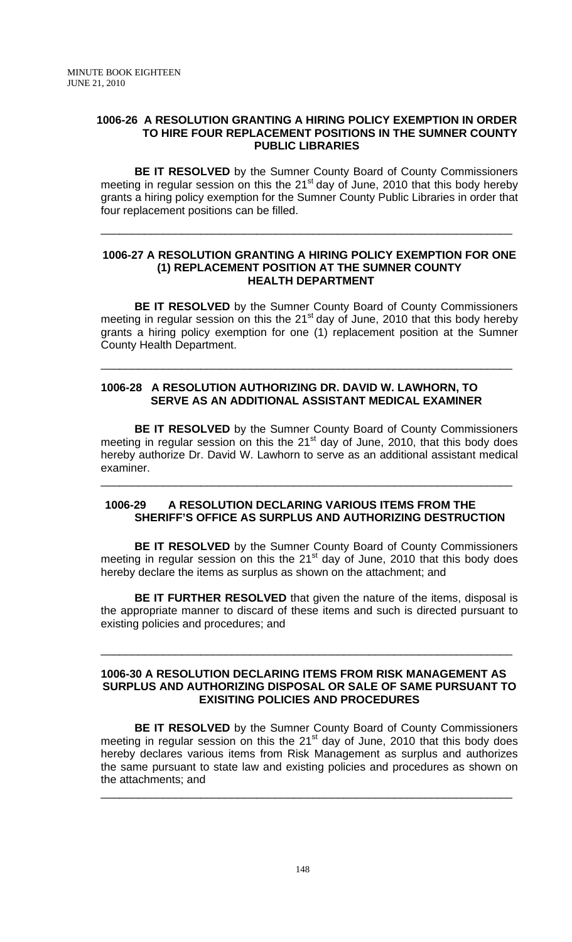## **1006-26 A RESOLUTION GRANTING A HIRING POLICY EXEMPTION IN ORDER TO HIRE FOUR REPLACEMENT POSITIONS IN THE SUMNER COUNTY PUBLIC LIBRARIES**

 **BE IT RESOLVED** by the Sumner County Board of County Commissioners meeting in regular session on this the  $21<sup>st</sup>$  day of June, 2010 that this body hereby grants a hiring policy exemption for the Sumner County Public Libraries in order that four replacement positions can be filled.

\_\_\_\_\_\_\_\_\_\_\_\_\_\_\_\_\_\_\_\_\_\_\_\_\_\_\_\_\_\_\_\_\_\_\_\_\_\_\_\_\_\_\_\_\_\_\_\_\_\_\_\_\_\_\_\_\_\_\_\_\_\_\_\_\_\_

## **1006-27 A RESOLUTION GRANTING A HIRING POLICY EXEMPTION FOR ONE (1) REPLACEMENT POSITION AT THE SUMNER COUNTY HEALTH DEPARTMENT**

**BE IT RESOLVED** by the Sumner County Board of County Commissioners meeting in regular session on this the 21 $<sup>st</sup>$  day of June, 2010 that this body hereby</sup> grants a hiring policy exemption for one (1) replacement position at the Sumner County Health Department.

\_\_\_\_\_\_\_\_\_\_\_\_\_\_\_\_\_\_\_\_\_\_\_\_\_\_\_\_\_\_\_\_\_\_\_\_\_\_\_\_\_\_\_\_\_\_\_\_\_\_\_\_\_\_\_\_\_\_\_\_\_\_\_\_\_\_

## **1006-28 A RESOLUTION AUTHORIZING DR. DAVID W. LAWHORN, TO SERVE AS AN ADDITIONAL ASSISTANT MEDICAL EXAMINER**

**BE IT RESOLVED** by the Sumner County Board of County Commissioners meeting in regular session on this the  $21<sup>st</sup>$  day of June, 2010, that this body does hereby authorize Dr. David W. Lawhorn to serve as an additional assistant medical examiner.

## **1006-29 A RESOLUTION DECLARING VARIOUS ITEMS FROM THE SHERIFF'S OFFICE AS SURPLUS AND AUTHORIZING DESTRUCTION**

\_\_\_\_\_\_\_\_\_\_\_\_\_\_\_\_\_\_\_\_\_\_\_\_\_\_\_\_\_\_\_\_\_\_\_\_\_\_\_\_\_\_\_\_\_\_\_\_\_\_\_\_\_\_\_\_\_\_\_\_\_\_\_\_\_\_

**BE IT RESOLVED** by the Sumner County Board of County Commissioners meeting in regular session on this the 21<sup>st</sup> day of June, 2010 that this body does hereby declare the items as surplus as shown on the attachment; and

**BE IT FURTHER RESOLVED** that given the nature of the items, disposal is the appropriate manner to discard of these items and such is directed pursuant to existing policies and procedures; and

## **1006-30 A RESOLUTION DECLARING ITEMS FROM RISK MANAGEMENT AS SURPLUS AND AUTHORIZING DISPOSAL OR SALE OF SAME PURSUANT TO EXISITING POLICIES AND PROCEDURES**

\_\_\_\_\_\_\_\_\_\_\_\_\_\_\_\_\_\_\_\_\_\_\_\_\_\_\_\_\_\_\_\_\_\_\_\_\_\_\_\_\_\_\_\_\_\_\_\_\_\_\_\_\_\_\_\_\_\_\_\_\_\_\_\_\_\_

**BE IT RESOLVED** by the Sumner County Board of County Commissioners meeting in regular session on this the 21<sup>st</sup> day of June, 2010 that this body does hereby declares various items from Risk Management as surplus and authorizes the same pursuant to state law and existing policies and procedures as shown on the attachments; and

\_\_\_\_\_\_\_\_\_\_\_\_\_\_\_\_\_\_\_\_\_\_\_\_\_\_\_\_\_\_\_\_\_\_\_\_\_\_\_\_\_\_\_\_\_\_\_\_\_\_\_\_\_\_\_\_\_\_\_\_\_\_\_\_\_\_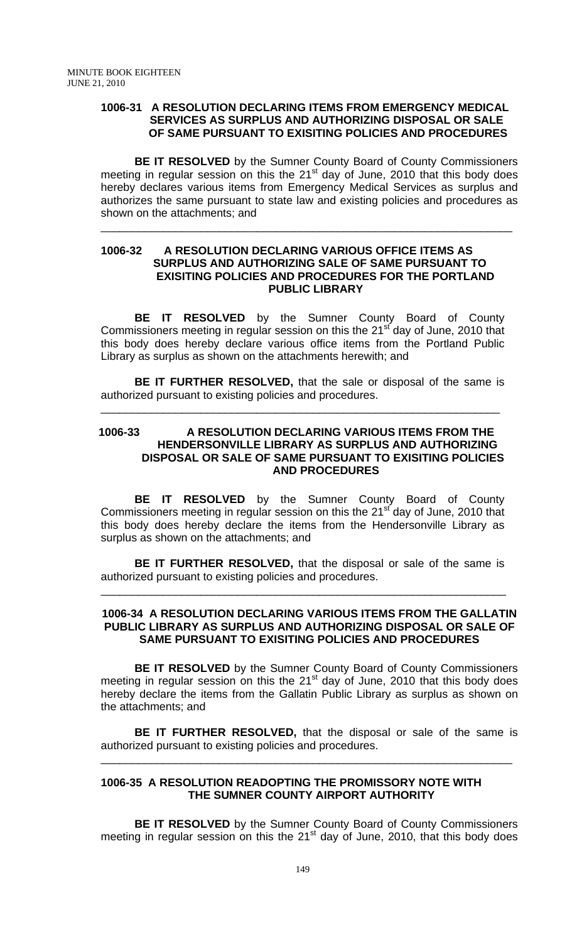## **1006-31 A RESOLUTION DECLARING ITEMS FROM EMERGENCY MEDICAL SERVICES AS SURPLUS AND AUTHORIZING DISPOSAL OR SALE OF SAME PURSUANT TO EXISITING POLICIES AND PROCEDURES**

**BE IT RESOLVED** by the Sumner County Board of County Commissioners meeting in regular session on this the  $21<sup>st</sup>$  day of June, 2010 that this body does hereby declares various items from Emergency Medical Services as surplus and authorizes the same pursuant to state law and existing policies and procedures as shown on the attachments; and

\_\_\_\_\_\_\_\_\_\_\_\_\_\_\_\_\_\_\_\_\_\_\_\_\_\_\_\_\_\_\_\_\_\_\_\_\_\_\_\_\_\_\_\_\_\_\_\_\_\_\_\_\_\_\_\_\_\_\_\_\_\_\_\_\_\_

## **1006-32 A RESOLUTION DECLARING VARIOUS OFFICE ITEMS AS SURPLUS AND AUTHORIZING SALE OF SAME PURSUANT TO EXISITING POLICIES AND PROCEDURES FOR THE PORTLAND PUBLIC LIBRARY**

 **BE IT RESOLVED** by the Sumner County Board of County Commissioners meeting in regular session on this the 21<sup>st</sup> day of June, 2010 that this body does hereby declare various office items from the Portland Public Library as surplus as shown on the attachments herewith; and

**BE IT FURTHER RESOLVED,** that the sale or disposal of the same is authorized pursuant to existing policies and procedures.

\_\_\_\_\_\_\_\_\_\_\_\_\_\_\_\_\_\_\_\_\_\_\_\_\_\_\_\_\_\_\_\_\_\_\_\_\_\_\_\_\_\_\_\_\_\_\_\_\_\_\_\_\_\_\_\_\_\_\_\_\_\_\_\_

## **1006-33 A RESOLUTION DECLARING VARIOUS ITEMS FROM THE HENDERSONVILLE LIBRARY AS SURPLUS AND AUTHORIZING DISPOSAL OR SALE OF SAME PURSUANT TO EXISITING POLICIES AND PROCEDURES**

 **BE IT RESOLVED** by the Sumner County Board of County Commissioners meeting in regular session on this the 21<sup>st</sup> day of June, 2010 that this body does hereby declare the items from the Hendersonville Library as surplus as shown on the attachments; and

**BE IT FURTHER RESOLVED,** that the disposal or sale of the same is authorized pursuant to existing policies and procedures.

\_\_\_\_\_\_\_\_\_\_\_\_\_\_\_\_\_\_\_\_\_\_\_\_\_\_\_\_\_\_\_\_\_\_\_\_\_\_\_\_\_\_\_\_\_\_\_\_\_\_\_\_\_\_\_\_\_\_\_\_\_\_\_\_\_

#### **1006-34 A RESOLUTION DECLARING VARIOUS ITEMS FROM THE GALLATIN PUBLIC LIBRARY AS SURPLUS AND AUTHORIZING DISPOSAL OR SALE OF SAME PURSUANT TO EXISITING POLICIES AND PROCEDURES**

 **BE IT RESOLVED** by the Sumner County Board of County Commissioners meeting in regular session on this the  $21<sup>st</sup>$  day of June, 2010 that this body does hereby declare the items from the Gallatin Public Library as surplus as shown on the attachments; and

**BE IT FURTHER RESOLVED,** that the disposal or sale of the same is authorized pursuant to existing policies and procedures.

\_\_\_\_\_\_\_\_\_\_\_\_\_\_\_\_\_\_\_\_\_\_\_\_\_\_\_\_\_\_\_\_\_\_\_\_\_\_\_\_\_\_\_\_\_\_\_\_\_\_\_\_\_\_\_\_\_\_\_\_\_\_\_\_\_\_

## **1006-35 A RESOLUTION READOPTING THE PROMISSORY NOTE WITH THE SUMNER COUNTY AIRPORT AUTHORITY**

**BE IT RESOLVED** by the Sumner County Board of County Commissioners meeting in regular session on this the  $21<sup>st</sup>$  day of June, 2010, that this body does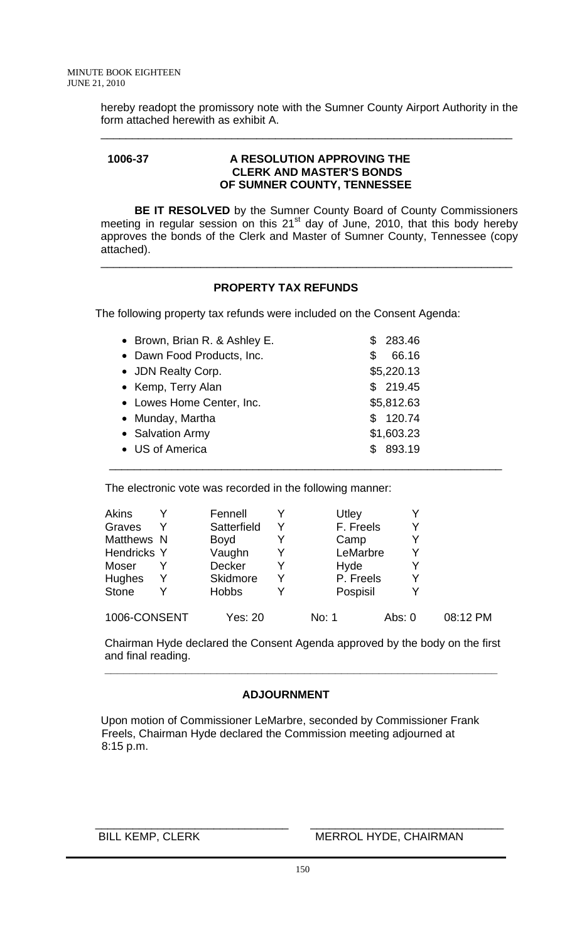hereby readopt the promissory note with the Sumner County Airport Authority in the form attached herewith as exhibit A.

\_\_\_\_\_\_\_\_\_\_\_\_\_\_\_\_\_\_\_\_\_\_\_\_\_\_\_\_\_\_\_\_\_\_\_\_\_\_\_\_\_\_\_\_\_\_\_\_\_\_\_\_\_\_\_\_\_\_\_\_\_\_\_\_\_\_

## **1006-37 A RESOLUTION APPROVING THE CLERK AND MASTER'S BONDS OF SUMNER COUNTY, TENNESSEE**

 **BE IT RESOLVED** by the Sumner County Board of County Commissioners meeting in regular session on this  $21<sup>st</sup>$  day of June, 2010, that this body hereby approves the bonds of the Clerk and Master of Sumner County, Tennessee (copy attached).

\_\_\_\_\_\_\_\_\_\_\_\_\_\_\_\_\_\_\_\_\_\_\_\_\_\_\_\_\_\_\_\_\_\_\_\_\_\_\_\_\_\_\_\_\_\_\_\_\_\_\_\_\_\_\_\_\_\_\_\_\_\_\_\_\_\_

## **PROPERTY TAX REFUNDS**

The following property tax refunds were included on the Consent Agenda:

| • Brown, Brian R. & Ashley E. | 283.46<br>S. |
|-------------------------------|--------------|
| • Dawn Food Products, Inc.    | 66.16<br>\$  |
| • JDN Realty Corp.            | \$5,220.13   |
| • Kemp, Terry Alan            | \$219.45     |
| • Lowes Home Center, Inc.     | \$5,812.63   |
| • Munday, Martha              | \$120.74     |
| • Salvation Army              | \$1,603.23   |
| • US of America               | \$893.19     |
|                               |              |

The electronic vote was recorded in the following manner:

| <b>Akins</b>       |   | Fennell         |   | Utley     |          |   |          |
|--------------------|---|-----------------|---|-----------|----------|---|----------|
| Graves             |   | Satterfield     |   | F. Freels |          |   |          |
| Matthews N         |   | <b>Boyd</b>     |   | Camp      |          | Y |          |
| <b>Hendricks Y</b> |   | Vaughn          | Y | LeMarbre  |          | Y |          |
| Moser              |   | Decker          | Y | Hyde      |          |   |          |
| <b>Hughes</b>      | Y | <b>Skidmore</b> |   | P. Freels |          |   |          |
| <b>Stone</b>       |   | <b>Hobbs</b>    |   | Pospisil  |          |   |          |
| 1006-CONSENT       |   | <b>Yes: 20</b>  |   | No: 1     | Abs: $0$ |   | 08:12 PM |

 Chairman Hyde declared the Consent Agenda approved by the body on the first and final reading.

## **ADJOURNMENT**

 **\_\_\_\_\_\_\_\_\_\_\_\_\_\_\_\_\_\_\_\_\_\_\_\_\_\_\_\_\_\_\_\_\_\_\_\_\_\_\_\_\_\_\_\_\_\_\_\_\_\_\_\_\_\_\_\_\_\_\_\_\_\_\_** 

 Upon motion of Commissioner LeMarbre, seconded by Commissioner Frank Freels, Chairman Hyde declared the Commission meeting adjourned at 8:15 p.m.

#### \_\_\_\_\_\_\_\_\_\_\_\_\_\_\_\_\_\_\_\_\_\_\_\_\_\_\_\_\_\_\_ \_\_\_\_\_\_\_\_\_\_\_\_\_\_\_\_\_\_\_\_\_\_\_\_\_\_\_\_\_\_\_ BILL KEMP, CLERK MERROL HYDE, CHAIRMAN